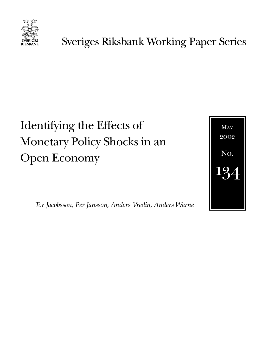

# Identifying the Effects of Monetary Policy Shocks in an Open Economy



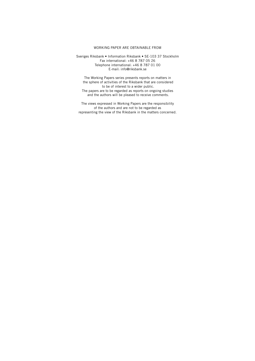#### WORKING PAPER ARE OBTAINABLE FROM

Sveriges Riksbank • Information Riksbank • SE-103 37 Stockholm Fax international: +46 8 787 05 26 Telephone international: +46 8 787 01 00 E-mail: info@riksbank.se

The Working Papers series presents reports on matters in the sphere of activities of the Riksbank that are considered to be of interest to a wider public. The papers are to be regarded as reports on ongoing studies and the authors will be pleased to receive comments.

The views expressed in Working Papers are the responsibility of the authors and are not to be regarded as representing the view of the Riksbank in the matters concerned.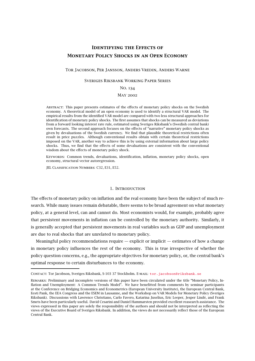### **Identifying the Effects of Monetary Policy Shocks in an Open Economy**

#### Tor Jacobson, Per Jansson, Anders Vredin, Anders Warne

#### Sveriges Riksbank Working Paper Series

#### No. 134

#### May 2002

Abstract: This paper presents estimates of the effects of monetary policy shocks on the Swedish economy. A theoretical model of an open economy is used to identify a structural VAR model. The empirical results from the identified VAR model are compared with two less structural approaches for identification of monetary policy shocks. The first assumes that shocks can be measured as deviations from a forward looking interest rate rule, estimated using Sveriges Riksbank's (Swedish central bank) own forecasts. The second approach focuses on the effects of "narrative" monetary policy shocks as given by devaluations of the Swedish currency. We find that plausible theoretical restrictions often result in price puzzles. Although conventional results obtain with certain theoretical restrictions imposed on the VAR, another way to achieve this is by using external information about large policy shocks. Thus, we find that the effects of some devaluations are consistent with the conventional wisdom about the effects of monetary policy shock.

Keywords: Common trends, devaluations, identification, inflation, monetary policy shocks, open economy, structural vector autoregression.

JEL Classification Numbers: C32, E31, E52.

#### 1. Introduction

The effects of monetary policy on inflation and the real economy have been the subject of much research. While many issues remain debatable, there seems to be broad agreement on what monetary policy, at a general level, can and cannot do. Most economists would, for example, probably agree that persistent movements in inflation can be controlled by the monetary authority. Similarly, it is generally accepted that persistent movements in real variables such as GDP and unemployment are due to real shocks that are unrelated to monetary policy.

Meaningful policy recommendations require — explicit or implicit — estimates of how a change in monetary policy influences the rest of the economy. This is true irrespective of whether the policy question concerns, e.g., the appropriate objectives for monetary policy, or, the central bank's optimal response to certain disturbances to the economy.

CONTACT: Tor Jacobson, Sveriges Riksbank, S-103 37 Stockholm. E-MAIL: [tor.jacobson@riksbank.se](mailto:tor.jacobson@riksbank.se)

Remarks: Preliminary and incomplete versions of this paper have been circulated under the title "Monetary Policy, Inflation and Unemployment: A Common Trends Model". We have benefitted from comments by seminar participants at the Conference on Bridging Economics and Econometrics (European University Institute), the European Central Bank, Eesti Pank, the EEA Congress and the ESEM in Lausanne, and the Workshop on VAR Models for Monetary Policy (Sveriges Riksbank). Discussions with Lawrence Christiano, Carlo Favero, Katarina Juselius, Eric Leeper, Jesper Lindé, and Frank Smets have been particularly useful. David Cesarini and Daniel Hammarsten provided excellent reasearch assistance. The views expressed in this paper are solely the responsibility of the authors and should not be interpreted as reflecting the views of the Executive Board of Sveriges Riksbank. In addition, the views do not necessarily reflect those of the European Central Bank.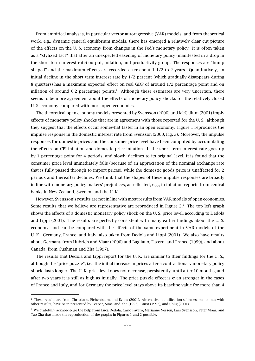From empirical analyses, in particular vector autoregressive (VAR) models, and from theoretical work, e.g., dynamic general equilibrium models, there has emerged a relatively clear cut picture of the effects on the U. S. economy from changes in the Fed's monetary policy. It is often taken as a "stylized fact" that after an unexpected easening of monetary policy (manifested in a drop in the short term interest rate) output, inflation, and productivity go up. The responses are "hump shaped" and the maximum effects are recorded after about  $1/2$  to 2 years. Quantitatively, an initial decline in the short term interest rate by 1/2 percent (which gradually disappears during 8 quarters) has a maximum expected effect on real GDP of around 1/2 percentage point and on inflation of around 0.2 percentage points.<sup>1</sup> Although these estimates are very uncertain, there seems to be more agreement about the effects of monetary policy shocks for the relatively closed U. S. economy compared with more open economies.

The theoretical open economy models presented by Svensson (2000) and McCallum (2001) imply effects of monetary policy shocks that are in agreement with those reported for the U. S., although they suggest that the effects occur somewhat faster in an open economy. Figure 1 reproduces the impulse response in the domestic interest rate from Svensson (2000, Fig. 3). Moreover, the impulse responses for domestic prices and the consumer price level have been computed by accumulating the effects on CPI inflation and domestic price inflation. If the short term interest rate goes up by 1 percentage point for 4 periods, and slowly declines to its original level, it is found that the consumer price level immediately falls (because of an appreciation of the nominal exchange rate that is fully passed through to import prices), while the domestic goods price is unaffected for 2 periods and thereafter declines. We think that the shapes of these impulse responses are broadly in line with monetary policy makers'prejudices, as reflected, e.g., in inflation reports from central banks in New Zealand, Sweden, and the U. K.

However, Svensson's results are not in line with most results from VAR models of open economies. Some results that we believe are representative are reproduced in Figure  $2<sup>2</sup>$ . The top left graph shows the effects of a domestic monetary policy shock on the U. S. price level, according to Dedola and Lippi (2001). The results are perfectly consistent with many earlier findings about the U. S. economy, and can be compared with the effects of the same experiment in VAR models of the U. K., Germany, France, and Italy, also taken from Dedola and Lippi (2001). We also have results about Germany from Hubrich and Vlaar (2000) and Bagliano, Favero, and Franco (1999), and about Canada, from Cushman and Zha (1997).

The results that Dedola and Lippi report for the U. K. are similar to their findings for the U. S., although the "price puzzle", i.e., the initial increase in prices after a contractionary monetary policy shock, lasts longer. The U. K. price level does not decrease, persistently, until after 10 months, and after two years it is still as high as initially. The price puzzle effect is even stronger in the cases of France and Italy, and for Germany the price level stays above its baseline value for more than 4

 $1$  These results are from Christiano, Eichenbaum, and Evans (2001). Alternative identification schemes, sometimes with other results, have been presented by Leeper, Sims, and Zha (1996), Faust (1997), and Uhlig (2001).

 $2$  We gratefully acknowledge the help from Luca Dedola, Carlo Favero, Marianne Nessén, Lars Svensson, Peter Vlaar, and Tao Zha that made the reproduction of the graphs in Figures 1 and 2 possible.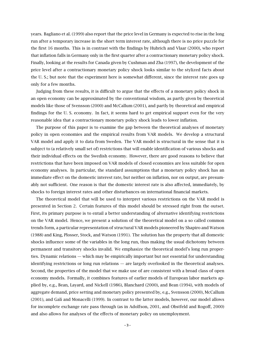years. Bagliano et al. (1999) also report that the price level in Germany is expected to rise in the long run after a temporary increase in the short term interest rate, although there is no price puzzle for the first 16 months. This is in contrast with the findings by Hubrich and Vlaar (2000), who report that inflation falls in Germany only in the first quarter after a contractionary monetary policy shock. Finally, looking at the results for Canada given by Cushman and Zha (1997), the development of the price level after a contractionary monetary policy shock looks similar to the stylized facts about the U. S.; but note that the experiment here is somewhat different, since the interest rate goes up only for a few months.

Judging from these results, it is difficult to argue that the effects of a monetary policy shock in an open economy can be approximated by the conventional wisdom, as partly given by theoretical models like those of Svensson (2000) and McCallum (2001), and partly by theoretical and empirical findings for the U. S. economy. In fact, it seems hard to get empirical support even for the very reasonable idea that a contractionary monetary policy shock leads to lower inflation.

The purpose of this paper is to examine the gap between the theoretical analyses of monetary policy in open economies and the empirical results from VAR models. We develop a structural VAR model and apply it to data from Sweden. The VAR model is structural in the sense that it is subject to (a relatively small set of) restrictions that will enable identification of various shocks and their individual effects on the Swedish economy. However, there are good reasons to believe that restrictions that have been imposed on VAR models of closed economies are less suitable for open economy analyses. In particular, the standard assumptions that a monetary policy shock has an immediate effect on the domestic interest rate, but neither on inflation, nor on output, are presumably not sufficient. One reason is that the domestic interest rate is also affected, immediately, by shocks to foreign interest rates and other disturbances on international financial markets.

The theoretical model that will be used to interpret various restrictions on the VAR model is presented in Section 2. Certain features of this model should be stressed right from the outset. First, its primary purpose is to entail a better understanding of alternative identifying restrictions on the VAR model. Hence, we present a solution of the theoretical model on a so called common trends form, a particular representation of structural VAR models pioneered by Shapiro and Watson (1988) and King, Plosser, Stock, and Watson (1991). The solution has the property that all domestic shocks influence some of the variables in the long run, thus making the usual dichotomy between permanent and transitory shocks invalid. We emphasize the theoretical model's long run properties. Dynamic relations — which may be empirically important but not essential for understanding identifying restrictions or long run relations — are largely overlooked in the theoretical analyses. Second, the properties of the model that we make use of are consistent with a broad class of open economy models. Formally, it combines features of earlier models of European labor markets applied by, e.g., Bean, Layard, and Nickell (1986), Blanchard (2000), and Bean (1994), with models of aggregate demand, price setting and monetary policy presented by, e.g., Svensson (2000), McCallum (2001), and Galí and Monacelli (1999). In contrast to the latter models, however, our model allows for incomplete exchange rate pass through (as in Adolfson, 2001, and Obstfeld and Rogoff, 2000) and also allows for analyses of the effects of monetary policy on unemployment.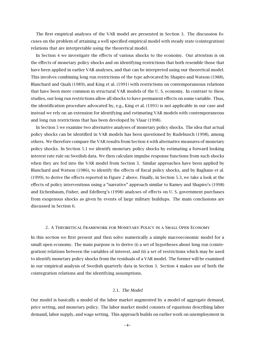The first empirical analyses of the VAR model are presented in Section 3. The discussion focuses on the problem of attaining a well specified empirical model with steady state (cointegration) relations that are interpretable using the theoretical model.

In Section 4 we investigate the effects of various shocks to the economy. Our attention is on the effects of monetary policy shocks and on identifying restrictions that both resemble those that have been applied in earlier VAR analyses, and that can be interpreted using our theoretical model. This involves combining long run restrictions of the type advocated by Shapiro and Watson (1988), Blanchard and Quah (1989), and King et al. (1991) with restrictions on contemporaneous relations that have been more common in structural VAR models of the U. S. economy. In contrast to these studies, our long run restrictions allow all shocks to have permanent effects on some variable. Thus, the identification procedure advocated by, e.g., King et al. (1991) is not applicable in our case and instead we rely on an extension for identifying and estimating VAR models with contemporaneous and long run restrictions that has been developed by Vlaar (1998).

In Section 5 we examine two alternative analyses of monetary policy shocks. The idea that actual policy shocks can be identified in VAR models has been questioned by Rudebusch (1998), among others. We therefore compare the VAR results from Section 4 with alternative measures of monetary policy shocks. In Section 5.1 we identify monetary policy shocks by estimating a forward looking interest rate rule on Swedish data. We then calculate impulse response functions from such shocks when they are fed into the VAR model from Section 3. Similar approaches have been applied by Blanchard and Watson (1986), to identify the effects of fiscal policy shocks, and by Bagliano et al. (1999), to derive the effects reported in Figure 2 above. Finally, in Section 5.3, we take a look at the effects of policy interventions using a "narrative" approach similar to Ramey and Shapiro's (1998) and Eichenbaum, Fisher, and Edelberg's (1998) analyses of effects on U. S. government purchases from exogenous shocks as given by events of large military buildups. The main conclusions are discussed in Section 6.

#### 2. A Theoretical Framework for Monetary Policy in a Small Open Economy

In this section we first present and then solve numerically a simple macroeconomic model for a small open economy. The main purpose is to derive (i) a set of hypotheses about long run (cointegration) relations between the variables of interest, and (ii) a set of restrictions which may be used to identify monetary policy shocks from the residuals of a VAR model. The former will be examined in our empirical analysis of Swedish quarterly data in Section 3. Section 4 makes use of both the cointegration relations and the identifying assumptions.

#### 2.1. *The Model*

Our model is basically a model of the labor market augmented by a model of aggregate demand, price setting, and monetary policy. The labor market model consists of equations describing labor demand, labor supply, and wage setting. This approach builds on earlier work on unemployment in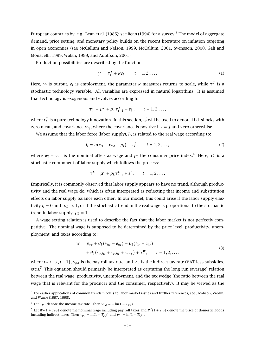European countries by, e.g., Bean et al. (1986); see Bean (1994) for a survey.<sup>3</sup> The model of aggregate demand, price setting, and monetary policy builds on the recent literature on inflation targeting in open economies (see McCallum and Nelson, 1999, McCallum, 2001, Svensson, 2000, Galí and Monacelli, 1999, Walsh, 1999, and Adolfson, 2001).

Production possibilities are described by the function

$$
y_t = \tau_t^T + \kappa e_t, \qquad t = 1, 2, \dots \tag{1}
$$

Here,  $y_t$  is output,  $e_t$  is employment, the parameter  $\kappa$  measures returns to scale, while  $τ_t^T$  is a stochastic technology variable. All variables are expressed in natural logarithms. It is assumed that technology is exogenous and evolves according to

$$
\tau_t^T = \mu^T + \rho_T \tau_{t-1}^T + \varepsilon_t^T, \qquad t = 1, 2, \ldots,
$$

where  $\varepsilon^T_t$  is a pure technology innovation. In this section,  $\varepsilon^i_t$  will be used to denote i.i.d. shocks with zero mean, and covariance  $\sigma_{ij}$ , where the covariance is positive if  $i = j$  and zero otherwhise.

We assume that the labor force (labor supply),  $l_t$ , is related to the real wage according to:

$$
l_t = \eta (w_t - v_{y,t} - p_t) + \tau_t^L, \qquad t = 1, 2, ..., \qquad (2)
$$

where  $w_t - v_{y,t}$  is the nominal after-tax wage and  $p_t$  the consumer price index.<sup>4</sup> Here,  $\tau_t^L$  is a stochastic component of labor supply which follows the process:

$$
\tau_t^L = \mu^L + \rho_L \tau_{t-1}^L + \varepsilon_t^L, \qquad t = 1, 2, \dots.
$$

Empirically, it is commonly observed that labor supply appears to have no trend, although productivity and the real wage do, which is often interpreted as reflecting that income and substitution effects on labor supply balance each other. In our model, this could arise if the labor supply elasticity  $\eta = 0$  and  $|\rho_L| < 1$ , or if the stochastic trend in the real wage is proportional to the stochastic trend in labor supply,  $\rho_L = 1$ .

A wage setting relation is used to describe the fact that the labor market is not perfectly competitive. The nominal wage is supposed to be determined by the price level, productivity, unemployment, and taxes according to:

$$
w_{t} = p_{t_{W}} + \theta_{1} (y_{t_{W}} - e_{t_{W}}) - \theta_{2} (l_{t_{W}} - e_{t_{W}})
$$
  
+  $\theta_{3} (y_{y,t_{W}} + y_{p,t_{W}} + y_{i,t_{W}}) + \tau_{t}^{W}, \qquad t = 1, 2, ...,$  (3)

where  $t_W \in \{t, t-1\}$ ,  $v_{p,t}$  is the pay roll tax rate, and  $v_{i,t}$  is the indirect tax rate (VAT less subsidies, etc.).<sup>5</sup> This equation should primarily be interpreted as capturing the long run (average) relation between the real wage, productivity, unemployment, and the tax wedge (the ratio between the real wage that is relevant for the producer and the consumer, respectively). It may be viewed as the

<sup>3</sup> For earlier applications of common trends models to labor market issues and further references, see Jacobson, Vredin, and Warne (1997, 1998).

<sup>&</sup>lt;sup>4</sup> Let  $T_{y,t}$  denote the income tax rate. Then  $v_{y,t} = -\ln(1 - T_{y,t})$ .

 $^5$  Let  $W_t(1+T_{p,t})$  denote the nominal wage including pay roll taxes and  $P_t^d(1+T_{i,t})$  denote the price of domestic goods including indirect taxes. Then  $v_{p,t} = \ln(1 + T_{p,t})$  and  $v_{i,t} = \ln(1 + T_{i,t})$ .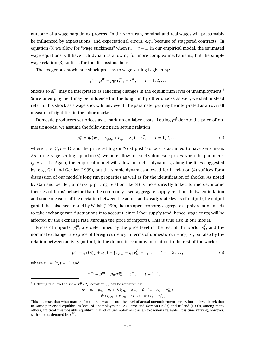outcome of a wage bargaining process. In the short run, nominal and real wages will presumably be influenced by expectations, and expectational errors, e.g., because of staggered contracts. In equation (3) we allow for "wage stickiness" when  $t_W = t - 1$ . In our empirical model, the estimated wage equations will have rich dynamics allowing for more complex mechanisms, but the simple wage relation (3) suffices for the discussions here.

The exogenous stochastic shock process to wage setting is given by:

$$
\tau_t^W = \mu^W + \rho_W \tau_{t-1}^W + \varepsilon_t^W, \qquad t = 1, 2, \ldots.
$$

Shocks to  $\varepsilon^W_t$ , may be interpreted as reflecting changes in the equilibrium level of unemployment. $^6$ Since unemployment may be influenced in the long run by other shocks as well, we shall instead refer to this shock as a wage shock. In any event, the parameter  $\rho_W$  may be interpreted as an overall measure of rigidities in the labor market.

Domestic producers set prices as a mark-up on labor costs. Letting  $p_t^d$  denote the price of domestic goods, we assume the following price setting relation

$$
p_t^d = \psi(w_{t_p} + v_{p,t_p} + e_{t_p} - y_{t_p}) + \varepsilon_t^p, \qquad t = 1, 2, ..., \qquad (4)
$$

where  $t_p \in \{t, t-1\}$  and the price setting (or "cost push") shock is assumed to have zero mean. As in the wage setting equation (3), we here allow for sticky domestic prices when the parameter  $t_p = t - 1$ . Again, the empirical model will allow for richer dynamics, along the lines suggested by, e.g., Galí and Gertler (1999), but the simple dynamics allowed for in relation (4) suffices for a discussion of our model's long run properties as well as for the identification of shocks. As noted by Galí and Gertler, a mark-up pricing relation like (4) is more directly linked to microeconomic theories of firms'behavior than the commonly used aggregate supply relations between inflation and some measure of the deviation between the actual and steady state levels of output (the output gap). It has also been noted by Walsh (1999), that an open economy aggregate supply relation needs to take exchange rate fluctuations into account, since labor supply (and, hence, wage costs) will be affected by the exchange rate (through the price of imports). This is true also in our model.

Prices of imports,  $p_t^m$ , are determined by the price level in the rest of the world,  $p_t^f$ , and the nominal exchange rate (price of foreign currency in terms of domestic currency), *st*, but also by the relation between activity (output) in the domestic economy in relation to the rest of the world:

$$
p_t^m = \xi_1 (p_{t_m}^f + s_{t_m}) + \xi_2 y_{t_m} - \xi_3 y_{t_m}^f + \tau_t^m, \qquad t = 1, 2, ..., \qquad (5)
$$

where  $t_m \in \{t, t-1\}$  and

$$
\tau_t^m = \mu^m + \rho_m \tau_{t-1}^m + \varepsilon_t^m, \qquad t = 1, 2, \dots
$$

<sup>6</sup> Defining this level as  $\tau_t^* = \tau_t^W / \theta_2$ , equation (3) can be rewritten as:

$$
w_t - p_t = p_{t_W} - p_t + \theta_1 (y_{t_W} - e_{t_W}) - \theta_2 (l_{t_W} - e_{t_W} - \tau_{t_W}^*)
$$
  
+ 
$$
\theta_3 (v_{y,t_W} + v_{p,t_W} + v_{i,t_W}) + \theta_2 (\tau_t^* - \tau_{t_W}^*).
$$

This suggests that what matters for the real wage is not the level of actual unemployment per se, but its level in relation to some perceived equilibrium level of unemployment. As Barro and Gordon (1983) and Ireland (1999), among many others, we treat this possible equilibrium level of unemployment as an exogenous variable. It is time varying, however, with shocks denoted by  $\varepsilon_t^W$ .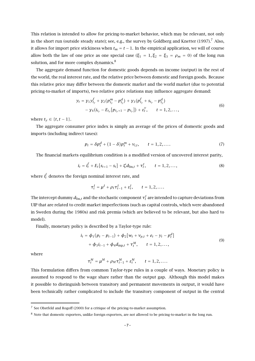This relation is intended to allow for pricing-to-market behavior, which may be relevant, not only in the short run (outside steady state); see, e.g., the survey by Goldberg and Knetter  $(1997)$ .<sup>7</sup> Also, it allows for import price stickiness when  $t_m = t - 1$ . In the empirical application, we will of course allow both the law of one price as one special case ( $\xi_1 = 1, \xi_2 = \xi_3 = \rho_m = 0$ ) of the long run solution, and for more complex dynamics.<sup>8</sup>

The aggregate demand function for domestic goods depends on income (output) in the rest of the world, the real interest rate, and the relative price between domestic and foreign goods. Because this relative price may differ between the domestic market and the world market (due to potential pricing-to-market of imports), two relative price relations may influence aggregate demand:

$$
y_t = y_1 y_{t_y}^f + y_2 (p_{t_y}^m - p_{t_y}^d) + y_3 (p_{t_y}^f + s_{t_y} - p_{t_y}^d)
$$
  
- y<sub>4</sub> (i<sub>t\_y</sub> - E<sub>t\_y</sub> [p<sub>t\_y+1</sub> - p<sub>t\_y</sub>]) +  $\varepsilon_t^y$ , t = 1, 2, ..., (6)

where  $t<sub>v</sub> ∈ {t, t - 1}.$ 

The aggregate consumer price index is simply an average of the prices of domestic goods and imports (including indirect taxes):

$$
p_t = \delta p_t^d + (1 - \delta) p_t^m + v_{i,t}, \qquad t = 1, 2, .... \tag{7}
$$

The financial markets equilibrium condition is a modified version of uncovered interest parity,

$$
i_t = i_t^f + E_t[s_{t+1} - s_t] + \zeta d_{\text{fm},t} + \tau_t^I, \qquad t = 1, 2, ..., \qquad (8)
$$

where  $i_t^f$  denotes the foreign nominal interest rate, and

$$
\tau_t^I = \mu^I + \rho_I \tau_{t-1}^I + \varepsilon_t^I, \qquad t = 1, 2, ....
$$

The intercept dummy  $d_{\mathrm{fm},t}$  and the stochastic component  $\tau^I_t$  are intended to capture deviations from UIP that are related to credit market imperfections (such as capital controls, which were abandoned in Sweden during the 1980s) and risk premia (which are believed to be relevant, but also hard to model).

Finally, monetary policy is described by a Taylor-type rule:

$$
i_{t} = \phi_{1}(p_{t} - p_{t-1}) + \phi_{2}[w_{t} + v_{p,t} + e_{t} - y_{t} - p_{t}^{d}]
$$
  
+  $\phi_{3}i_{t-1} + \phi_{4}d_{mp,t} + \tau_{t}^{M}, \qquad t = 1, 2, ...,$  (9)

where

$$
\tau_t^M = \mu^M + \rho_M \tau_{t-1}^M + \varepsilon_t^M, \qquad t = 1, 2, \ldots.
$$

This formulation differs from common Taylor-type rules in a couple of ways. Monetary policy is assumed to respond to the wage share rather than the output gap. Although this model makes it possible to distinguish between transitory and permanent movements in output, it would have been technically rather complicated to include the transitory component of output in the central

<sup>7</sup> See Obstfeld and Rogoff (2000) for a critique of the pricing-to-market assumption.

<sup>8</sup> Note that domestic exporters, unlike foreign exporters, are not allowed to be pricing-to-market in the long run.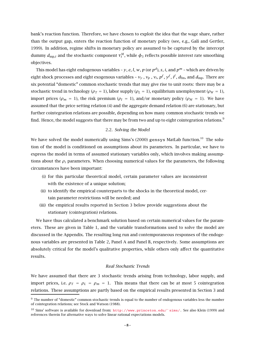bank's reaction function. Therefore, we have chosen to exploit the idea that the wage share, rather than the output gap, enters the reaction function of monetary policy (see, e.g., Galí and Gertler, 1999). In addition, regime shifts in monetary policy are assumed to be captured by the intercept  $\dim$ my  $d_{\text{mp},t}$  and the stochastic component  $\tau^M_t$ , while  $\phi_3$  reflects possible interest rate smoothing objectives.

This model has eight endogenous variables – *y*, *e*, *l*, *w*, *p* (or  $p^d$ ), *s*, *i*, and  $p^m$  – which are driven by eight shock processes and eight exogenous variables -  $v_y$ ,  $v_p$ ,  $v_i$ ,  $p^f$ ,  $y^f$ ,  $i^f$ ,  $d_{\text{fm}}$ , and  $d_{\text{mp}}$ . There are six potential "domestic" common stochastic trends that may give rise to unit roots: there may be a stochastic trend in technology ( $\rho_T = 1$ ), labor supply ( $\rho_L = 1$ ), equilibrium unemployment ( $\rho_W = 1$ ), import prices ( $\rho_m = 1$ ), the risk premium ( $\rho_I = 1$ ), and/or monetary policy ( $\rho_M = 1$ ). We have assumed that the price setting relation (4) and the aggregate demand relation (6) are stationary, but further cointegration relations are possible, depending on how many common stochastic trends we find. Hence, the model suggests that there may be from two and up to eight cointegration relations.<sup>9</sup>

#### 2.2. *Solving the Model*

We have solved the model numerically using Sims's (2000) gensys MatLab function.<sup>10</sup> The solution of the model is conditioned on assumptions about its parameters. In particular, we have to express the model in terms of assumed stationary variables only, which involves making assumptions about the  $\rho_i$  parameters. When choosing numerical values for the parameters, the following circumstances have been important:

- (i) for this particular theoretical model, certain parameter values are inconsistent with the existence of a unique solution;
- (ii) to identify the empirical counterparts to the shocks in the theoretical model, certain parameter restrictions will be needed; and
- (iii) the empirical results reported in Section 3 below provide suggestions about the stationary (cointegration) relations.

We have thus calculated a benchmark solution based on certain numerical values for the parameters. These are given in Table 1, and the variable transformations used to solve the model are discussed in the Appendix. The resulting long run and contemporaneous responses of the endogenous variables are presented in Table 2, Panel A and Panel B, respectively. Some assumptions are absolutely critical for the model's qualitative properties, while others only affect the quantitative results.

#### *Real Stochastic Trends*

We have assumed that there are 3 stochastic trends arising from technology, labor supply, and import prices, i.e.  $\rho_T = \rho_L = \rho_m = 1$ . This means that there can be at most 5 cointegration relations. These assumptions are partly based on the empirical results presented in Section 3 and

<sup>9</sup> The number of "domestic" common stochastic trends is equal to the number of endogenous variables less the number of cointegration relations; see Stock and Watson (1988).

<sup>&</sup>lt;sup>10</sup> Sims' software is available for download from: http://www.princeton.edu/~ sims/. See also Klein (1999) and references therein for alternative ways to solve linear rational expectations models.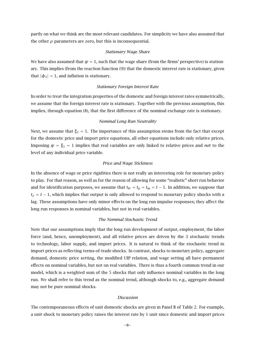partly on what we think are the most relevant candidates. For simplicity we have also assumed that the other  $\rho$  parameters are zero, but this is inconsequential.

#### *Stationary Wage Share*

We have also assumed that  $\psi = 1$ , such that the wage share (from the firms' perspective) is stationary. This implies (from the reaction function (9)) that the domestic interest rate is stationary, given that  $|\phi_3|$  < 1, and inflation is stationary.

#### *Stationary Foreign Interest Rate*

In order to treat the integration properties of the domestic and foreign interest rates symmetrically, we assume that the foreign interest rate is stationary. Together with the previous assumption, this implies, through equation (8), that the first difference of the nominal exchange rate is stationary.

#### *Nominal Long Run Neutrality*

Next, we assume that  $\xi_1 = 1$ . The importance of this assumption stems from the fact that except for the domestic price and import price equations, all other equations include only relative prices. Imposing  $\psi = \xi_1 = 1$  implies that real variables are only linked to relative prices and *not* to the level of any individual price variable.

#### *Price and Wage Stickiness*

In the absence of wage or price rigidities there is not really an interesting role for monetary policy to play. For that reason, as well as for the reason of allowing for some "realistic" short run behavior and for identification purposes, we assume that  $t_W = t_p = t_m = t - 1$ . In addition, we suppose that *t<sub>y</sub>* = *t* − 1, which implies that output is only allowed to respond to monetary policy shocks with a lag. These assumptions have only minor effects on the long run impulse responses; they affect the long run responses in nominal variables, but not in real variables.

#### *The Nominal Stochastic Trend*

Note that our assumptions imply that the long run development of output, employment, the labor force (and, hence, unemployment), and all relative prices are driven by the 3 stochastic trends to technology, labor supply, and import prices. It is natural to think of the stochastic trend in import prices as reflecting terms-of-trade shocks. In contrast, shocks to monetary policy, aggregate demand, domestic price setting, the modified UIP relation, and wage setting all have permanent effects on nominal variables, but not on real variables. There is thus a fourth common trend in our model, which is a weighted sum of the 5 shocks that only influence nominal variables in the long run. We shall refer to this trend as the nominal trend, although shocks to, e.g., aggregate demand may not be pure nominal shocks.

#### *Discussion*

The contemporaneous effects of unit domestic shocks are given in Panel B of Table 2. For example, a unit shock to monetary policy raises the interest rate by 1 unit since domestic and import prices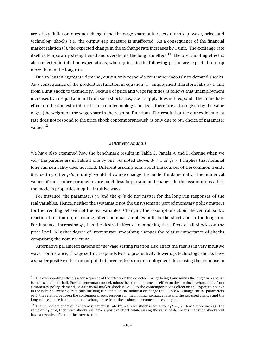are sticky (inflation does not change) and the wage share only reacts directly to wage, price, and technology shocks, i.e., the output gap measure is unaffected. As a consequence of the financial market relation (8), the expected change in the exchange rate increases by 1 unit. The exchange rate itself is temporarily strengthened and overshoots the long run effect.<sup>11</sup> The overshooting effect is also reflected in inflation expectations, where prices in the following period are expected to drop more than in the long run.

Due to lags in aggregate demand, output only responds contemporaneously to demand shocks. As a consequence of the production function in equation (1), employment therefore falls by 1 unit from a unit shock to technology. Because of price and wage rigidities, it follows that unemployment increases by an equal amount from such shocks, i.e., labor supply does not respond. The immediate effect on the domestic interest rate from technology shocks is therefore a drop given by the value of  $\phi_2$  (the weight on the wage share in the reaction function). The result that the domestic interest rate does not respond to the price shock contemporaneously is only due to our choice of parameter values.<sup>12</sup>

#### *Sensitivity Analysis*

We have also examined how the benchmark results in Table 2, Panels A and B, change when we vary the parameters in Table 1 one by one. As noted above,  $\psi \neq 1$  or  $\xi_1 \neq 1$  implies that nominal long run neutrality does not hold. Different assumptions about the sources of the common trends (i.e., setting other *ρi*'s to unity) would of course change the model fundamentally. The numerical values of most other parameters are much less important, and changes in the assumptions affect the model's properties in quite intuitive ways.

For instance, the parameters *γ*<sup>4</sup> and the *φi*'s do not matter for the long run responses of the real variables. Hence, neither the systematic not the unsystematic part of monetary policy matters for the trending behavior of the real variables. Changing the assumptions about the central bank's reaction function do, of course, affect nominal variables both in the short and in the long run. For instance, increasing  $\phi_1$  has the desired effect of dampening the effects of all shocks on the price level. A higher degree of interest rate smoothing changes the relative importance of shocks comprising the nominal trend.

Alternative parameterizations of the wage setting relation also affect the results in very intuitive ways. For instance, if wage setting responds less to productivity (lower *θ*1), technology shocks have a smaller positive effect on output, but larger effects on unemployment. Increasing the response to

<sup>&</sup>lt;sup>11</sup> The overshooting effect is a consequence of the effects on the expected change being 1 and minus the long run response being less than one half. For the benchmark model, minus the contemporaneous effect on the nominal exchange rate from a monetary policy, demand, or a financial market shock is equal to the contemporaneous effect on the expected change in the nominal exchange rate plus the long run effect on the nominal exchange rate. Once we change the  $\phi_i$  parameters or *δ*, the relation between the contemporaneous response in the nominal exchange rate and the expected change and the long run response in the nominal exchange rate from these shocks becomes more complex.

<sup>&</sup>lt;sup>12</sup> The immediate effect on the domestic interest rate from a price shock is equal to  $\phi_1 \delta - \phi_2$ . Hence, if we increase the value of  $\phi_1$  or  $\delta$ , then price shocks will have a positive effect, while raising the value of  $\phi_2$  means that such shocks will have a negative effect on the interest rate.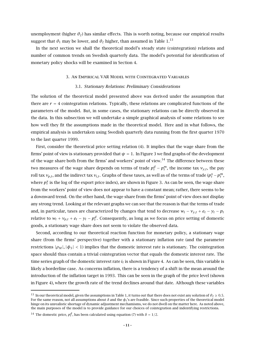unemployment (higher *θ*<sub>2</sub>) has similar effects. This is worth noting, because our empirical results suggest that  $\theta_1$  may be lower, and  $\theta_2$  higher, than assumed in Table 1.<sup>13</sup>

In the next section we shall the theoretical model's steady state (cointegration) relations and number of common trends on Swedish quarterly data. The model's potential for identification of monetary policy shocks will be examined in Section 4.

#### 3. An Empirical VAR Model with Cointegrated Variables

#### 3.1. *Stationary Relations: Preliminary Considerations*

The solution of the theoretical model presented above was derived under the assumption that there are  $r = 4$  cointegration relations. Typically, these relations are complicated functions of the parameters of the model. But, in some cases, the stationary relations can be directly observed in the data. In this subsection we will undertake a simple graphical analysis of some relations to see how well they fit the assumptions made in the theoretical model. Here and in what follows, the empirical analysis is undertaken using Swedish quarterly data running from the first quarter 1970 to the last quarter 1999.

First, consider the theoretical price setting relation (4). It implies that the wage share from the firms' point of view is stationary provided that  $\psi = 1$ . In Figure 3 we find graphs of the development of the wage share both from the firms' and workers' point of view.<sup>14</sup> The difference between these two measures of the wage share depends on terms of trade  $p^d_t-p^m_t,$  the income tax  $v_{y,t},$  the pay roll tax  $v_{p,t}$ , and the indirect tax  $v_{i,t}$ . Graphs of these taxes, as well as of the terms of trade ( $p_t^x - p_t^m$ , where  $p_t^x$  is the log of the export price index), are shown in Figure 3. As can be seen, the wage share from the workers'point of view does not appear to have a constant mean; rather, there seems to be a downward trend. On the other hand, the wage share from the firms'point of view does not display any strong trend. Looking at the relevant graphs we can see that the reason is that the terms of trade and, in particular, taxes are characterized by changes that tend to decrease  $w_t - v_{v,t} + e_t - y_t - p_t$ relative to  $w_t + v_{p,t} + e_t - y_t - p_t^d$ . Consequently, as long as we focus on price setting of domestic goods, a stationary wage share does not seem to violate the observed data.

Second, according to our theoretical reaction function for monetary policy, a stationary wage share (from the firms' perspective) together with a stationary inflation rate (and the parameter restrictions  $|\rho_M|, |\phi_3| < 1$  implies that the domestic interest rate is stationary. The cointegration space should thus contain a trivial cointegration vector that equals the domestic interest rate. The time series graph of the domestic interest rate  $i_t$  is shown in Figure 4. As can be seen, this variable is likely a borderline case. As concerns inflation, there is a tendency of a shift in the mean around the introduction of the inflation target in 1993. This can be seen in the graph of the price level (shown in Figure 4), where the growth rate of the trend declines around that date. Although these variables

<sup>&</sup>lt;sup>13</sup> In our theoretical model, given the assumptions in Table 1, it turns out that there does not exist any solution of  $\theta_2 \ge 0.5$ . For the same reason, not all assumptions about *δ* and the *φi*'s are feasible. Since such properties of the theoretical model hinge on its unrealistic shortage of dynamic adjustment mechamisms, we do not dwell on the matter here. As noted above, the main purposes of the model is to provide guidance for our choices of cointegration and indentifying restrictions.

<sup>&</sup>lt;sup>14</sup> The domestic price,  $p_t^d$ , has been calculated using equation (7) with  $\delta = 1/2$ .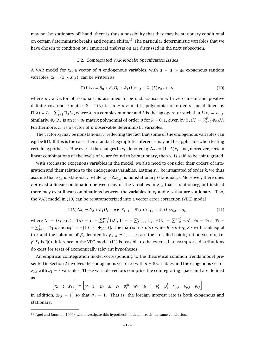may not be stationary off hand, there is thus a possibility that they may be stationary conditional on certain deterministic breaks and regime shifts.<sup>15</sup> The particular deterministic variables that we have chosen to condition our empirical analysis on are discussed in the next subsection.

#### 3.2. *Cointegrated VAR Models: Specification Issues*

A VAR model for  $x_t$ , a vector of *n* endogenous variables, with  $q = q_1 + q_0$  exogenous random variables,  $z_t = (z_{1,t}, z_{0,t})$ , can be written as

$$
\Pi(L)x_t = \delta_0 + \delta_1 D_t + \Phi_1(L)z_{1,t} + \Phi_0(L)z_{0,t} + u_t, \qquad (10)
$$

where  $u_t$ , a vector of residuals, is assumed to be i.i.d. Gaussian with zero mean and positive definite covariance matrix  $\Sigma$ .  $\Pi(\lambda)$  is an  $n \times n$  matrix polynomial of order p and defined by  $\Pi(\lambda) = I_n - \sum_{j=1}^p \Pi_j \lambda^j$ , where  $\lambda$  is a complex number and  $L$  is the lag operator such that  $L^j x_t = x_{t-j}$ . Similarly,  $\Phi_k(\lambda)$  is an  $n \times q_k$  matrix polynomial of order  $p$  for  $k = 0, 1$ , given by  $\Phi_k(\lambda) = \sum_{i=0}^p \Phi_{k,i} \lambda^i$ . Furthermore,  $D_t$  is a vector of *d* observable deterministic variables.

The vector  $x_t$  may be nonstationary, reflecting the fact that some of the endogenous variables can e.g. be I(1). If this is the case, then standard asymptotic inference may not be applicable when testing certain hypotheses. However, if the changes in  $x_t$ , denoted by  $\Delta x_t = (1-L)x_t$ , and, moreover, certain linear combinations of the levels of  $x_t$  are found to be stationary, then  $x_t$  is said to be cointegrated.

With stochastic exogenous variables in the model, we also need to consider their orders of integration and their relation to the endogenous variables. Letting *zk,t* be integrated of order *k*, we thus assume that  $z_{0,t}$  is stationary, while  $z_{1,t}$  ( $\Delta z_{1,t}$ ) is nonstationary (stationary). Moreover, there does *not* exist a linear combination between any of the variables in *z*1*,t* that is stationary, but instead there may exist linear combinations between the variables in  $x_t$  and  $z_{1,t}$  that are stationary. If so, the VAR model in (10) can be reparameterized into a vector error correction (VEC) model

$$
\Gamma(L)\Delta x_t = \delta_0 + \delta_1 D_t + \alpha \beta' X_{t-1} + \Psi(L)\Delta z_{1,t} + \Phi_0(L)z_{0,t} + u_t, \tag{11}
$$

where  $X_t = (x_t, z_{1,t})$ ,  $\Gamma(\lambda) = I_n - \sum_{i=1}^{p-1} \Gamma_i \lambda^i$ ,  $\Gamma_i = -\sum_{j=i+1}^{p} \Pi_j$ ,  $\Psi(\lambda) = \sum_{i=0}^{p-1} \Psi_i \lambda^i$ ,  $\Psi_0 = \Phi_{1,0}$ ,  $\Psi_i = \Phi_{2,0}$  $\nu = \sum_{j=i+1}^{p} \Phi_{1,j}$ , and *αβ'* = −*[Π(1)*  $\Phi_1(1)$ ]. The matrix *α* is *n* × *r* while *β* is *n* + *q*<sub>1</sub> × *r* with rank equal to *r* and the columns of *β*, denoted by  $β_j$ ,  $j = 1, ..., r$ , are the so called cointegration vectors, i.e.  $\beta' X_t$  is I(0). Inference in the VEC model (11) is feasible to the extent that asymptotic distributions do exist for tests of economically relevant hypotheses.

An empirical cointegration model corresponding to the theoretical common trends model presented in Section 2 involves the endogenous vector  $x_t$  with  $n = 8$  variables and the exogenous vector  $z_{1,t}$  with  $q_1 = 5$  variables. These variable vectors comprise the cointegrating space and are defined as

$$
\begin{bmatrix} x_t & \vdots & z_{1,t} \end{bmatrix} = \begin{bmatrix} y_t & i_t & p_t & s_t & e_t & p_t^m & w_t & u_t & \vdots & y_t^f & p_t^f & v_{y,t} & v_{p,t} & v_{i,t} \end{bmatrix}
$$

In addition,  $z_{0,t}$  =  $i_t^f$  so that  $q_0$  = 1. That is, the foreign interest rate is both exogenous and stationary.

<sup>&</sup>lt;sup>15</sup> Apel and Jansson (1999), who investigate this hypothesis in detail, reach the same conclusion.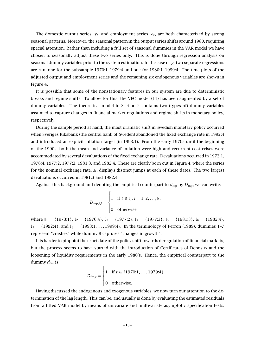The domestic output series,  $y_t$ , and employment series,  $e_t$ , are both characterized by strong seasonal patterns. Moreover, the seasonal pattern in the output series shifts around 1980, requiring special attention. Rather than including a full set of seasonal dummies in the VAR model we have chosen to seasonally adjust these two series only. This is done through regression analysis on seasonal dummy variables prior to the system estimation. In the case of  $y_t$  two separate regressions are run, one for the subsample 1970:1–1979:4 and one for 1980:1–1999:4. The time plots of the adjusted output and employment series and the remaining six endogenous variables are shown in Figure 4.

It is possible that some of the nonstationary features in our system are due to deterministic breaks and regime shifts. To allow for this, the VEC model (11) has been augmented by a set of dummy variables. The theoretical model in Section 2 contains two (types of) dummy variables assumed to capture changes in financial market regulations and regime shifts in monetary policy, respectively.

During the sample period at hand, the most dramatic shift in Swedish monetary policy occurred when Sveriges Riksbank (the central bank of Sweden) abandoned the fixed exchange rate in 1992:4 and introduced an explicit inflation target (in 1993:1). From the early 1970s until the beginning of the 1990s, both the mean and variance of inflation were high and recurrent cost crises were accommodated by several devaluations of the fixed exchange rate. Devaluations occurred in 1973:1, 1976:4, 1977:2, 1977:3, 1981:3, and 1982:4. These are clearly born out in Figure 4, where the series for the nominal exchange rate, *st*, displays distinct jumps at each of these dates. The two largest devaluations occurred in 1981:3 and 1982:4.

Against this background and denoting the empirical counterpart to  $d_{mp}$  by  $D_{mp}$ , we can write:

$$
D_{\text{mp},i,t} = \begin{cases} 1 & \text{if } t \in \mathbb{I}_i, i = 1, 2, \dots, 8, \\ 0 & \text{otherwise,} \end{cases}
$$

where  $\mathbb{I}_1 = \{1973:1\}$ ,  $\mathbb{I}_2 = \{1976:4\}$ ,  $\mathbb{I}_3 = \{1977:2\}$ ,  $\mathbb{I}_4 = \{1977:3\}$ ,  $\mathbb{I}_5 = \{1981:3\}$ ,  $\mathbb{I}_6 = \{1982:4\}$ ,  $\mathbb{I}_7 = \{1992:4\}$ , and  $\mathbb{I}_8 = \{1993:1,\ldots, 1999:4\}$ . In the terminology of Perron (1989), dummies 1-7 represent "crashes" while dummy 8 captures "changes in growth".

It is harder to pinpoint the exact date of the policy shift towards deregulation of financial markets, but the process seems to have started with the introduction of Certificates of Deposits and the loosening of liquidity requirements in the early 1980's. Hence, the empirical counterpart to the dummy  $d_{\text{fm}}$  is:

$$
D_{\text{fm},t} = \begin{cases} 1 & \text{if } t \in \{1970:1,\dots,1979:4\} \\ 0 & \text{otherwise.} \end{cases}
$$

Having discussed the endogenous and exogenous variables, we now turn our attention to the determination of the lag length. This can be, and usually is done by evaluating the estimated residuals from a fitted VAR model by means of univariate and multivariate asymptotic specification tests.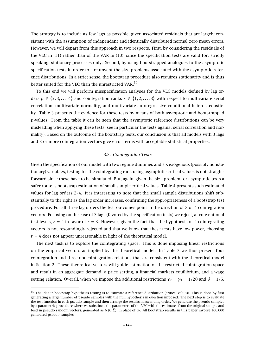The strategy is to include as few lags as possible, given associated residuals that are largely consistent with the assumption of independent and identically distributed normal zero mean errors. However, we will depart from this approach in two respects. First, by considering the residuals of the VEC in (11) rather than of the VAR in (10), since the specification tests are valid for, strictly speaking, stationary processes only. Second, by using bootstrapped analogues to the asymptotic specification tests in order to circumvent the size problems associated with the asymptotic reference distributions. In a strict sense, the bootstrap procedure also requires stationarity and is thus better suited for the VEC than the unrestricted VAR.<sup>16</sup>

To this end we will perform misspecification analyses for the VEC models defined by lag orders  $p \in \{2, 3, ..., 4\}$  and cointegration ranks  $r \in \{1, 2, ..., 8\}$  with respect to multivariate serial correlation, multivariate normality, and multivariate autoregressive conditional heteroskedasticity. Table 3 presents the evidence for these tests by means of both asymptotic and bootstrapped *p*-values. From the table it can be seen that the asymptotic reference distributions can be very misleading when applying these tests (see in particular the tests against serial correlation and normality). Based on the outcome of the bootstrap tests, our conclusion is that all models with 3 lags and 3 or more cointegration vectors give error terms with acceptable statistical properties.

#### 3.3. *Cointegration Tests*

Given the specification of our model with two regime dummies and six exogenous (possibly nonstationary) variables, testing for the cointegrating rank using asymptotic critical values is not straightforward since these have to be simulated. But, again, given the size problem for asymptotic tests a safer route is bootstrap estimation of small sample critical values. Table 4 presents such estimated values for lag orders 2–4. It is interesting to note that the small sample distributions shift substantially to the right as the lag order increases, confirming the appropriateness of a bootstrap test procedure. For all three lag orders the test outcomes point in the direction of 3 or 4 cointegration vectors. Focusing on the case of 3 lags (favored by the specification tests) we reject, at conventional test levels,  $r = 4$  in favor of  $r = 3$ . However, given the fact that the hypothesis of 4 cointegrating vectors is not resoundingly rejected and that we know that these tests have low power, choosing  $r = 4$  does not appear unreasonable in light of the theoretical model.

The next task is to explore the cointegrating space. This is done imposing linear restrictions on the empirical vectors as implied by the theoretical model. In Table 5 we thus present four cointegration and three noncointegration relations that are consistent with the theoretical model in Section 2. These theoretical vectors will guide estimation of the restricted cointegration space and result in an aggregate demand, a price setting, a financial markets equilibrium, and a wage setting relation. Overall, when we impose the additional restrictions  $\gamma_2 = \gamma_3 = 1/20$  and  $\delta = 1/5$ ,

 $16$  The idea in bootstrap hypothesis testing is to estimate a reference distribution (critical values). This is done by first generating a large number of pseudo samples with the null hypothesis in question imposed. The next step is to evaluate the test function in each pseudo sample and then arrange the results in ascending order. We generate the pseudo samples by a parametric procedure where we substitute the parameters of the VEC with the estimates from the original sample and feed in pseudo random vectors, generated as  $N(0, \hat{\Sigma})$ , in place of  $u_t$ . All bootstrap results in this paper involve 100,000 generated pseudo samples.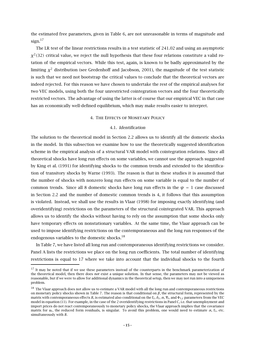the estimated free parameters, given in Table 6, are not unreasonable in terms of magnitude and sign. $17$ 

The LR test of the linear restrictions results in a test statistic of 241*.*02 and using an asymptotic  $\chi^2$ (32) critical value, we reject the null hypothesis that these four relations constitute a valid rotation of the empirical vectors. While this test, again, is known to be badly approximated by the limiting *χ*<sup>2</sup> distribution (see Gredenhoff and Jacobson, 2001), the magnitude of the test statistic is such that we need not bootstrap the critical values to conclude that the theoretical vectors are indeed rejected. For this reason we have chosen to undertake the rest of the empirical analyses for two VEC models, using both the four unrestricted cointegration vectors and the four theoretically restricted vectors. The advantage of using the latter is of course that our empirical VEC in that case has an economically well-defined equilibrium, which may make results easier to interpret.

#### 4. The Effects of Monetary Policy

#### 4.1. *Identification*

The solution to the theoretical model in Section 2.2 allows us to identify all the domestic shocks in the model. In this subsection we examine how to use the theoretically suggested identification scheme in the empirical analysis of a structural VAR model with cointegration relations. Since all theoretical shocks have long run effects on some variables, we cannot use the approach suggested by King et al. (1991) for identifying shocks to the common trends and extended to the identification of transitory shocks by Warne (1993). The reason is that in these studies it is assumed that the number of shocks with nonzero long run effects on some variable is equal to the number of common trends. Since all 8 domestic shocks have long run effects in the  $\psi = 1$  case discussed in Section 2.2 and the number of domestic common trends is 4, it follows that this assumption is violated. Instead, we shall use the results in Vlaar (1998) for imposing exactly identifying (and overidentifying) restrictions on the parameters of the structural cointegrated VAR. This approach allows us to identify the shocks without having to rely on the assumption that some shocks only have temporary effects on nonstationary variables. At the same time, the Vlaar approach can be used to impose identifying restrictions on the contemporaneous and the long run responses of the endogenous variables to the domestic shocks.<sup>18</sup>

In Table 7, we have listed all long run and contemporaneous identifying restrictions we consider. Panel A lists the restrictions we place on the long run coefficients. The total number of identifying restrictions is equal to 17 where we take into account that the individual shocks to the fourth

 $17$  It may be noted that if we use these parameters instead of the counterparts in the benchmark parameterization of the theoretical model, then there does *not* exist a unique solution. In that sense, the parameters may not be viewed as reasonable, but if we were to allow for additional dynamics in the theoretical setup, then we may not run into a uniqueness problem.

 $18$  The Vlaar approach does not allow us to estimate a VAR model with all the long run and contemporaneous restrictions on monetary policy shocks shown in Table 7. The reason is that conditional on *β*, the structural form, represented by the matrix with contemporaneous effects *B*, is estimated also conditional on the Γ*i*, *δi*, *α*, Ψ*i*, and Φ1*,i* parameters from the VEC model in equation (11). For example, in the case of the 2 overidentifying restrictions in Panel C, i.e. that unemployment and import prices do not react contemporaneously to monetary policy shocks, the Vlaar approach implies that the covariance matrix for *ut*, the reduced form residuals, is singular. To avoid this problem, one would need to estimate *α*, Γ*i*, etc. simultaneously with *B*.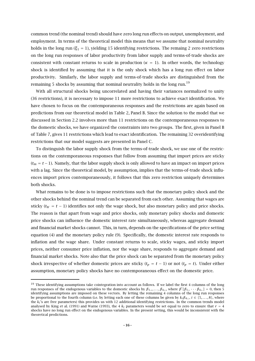common trend (the nominal trend) should have zero long run effects on output, unemployment, and employment. In terms of the theoretical model this means that we assume that nominal neutrality holds in the long run ( $\xi_1 = 1$ ), yielding 15 identifying restrictions. The remaing 2 zero restrictions on the long run responses of labor productivity from labor supply and terms-of-trade shocks are consistent with constant returns to scale in production ( $\kappa = 1$ ). In other words, the technology shock is identified by assuming that it is the only shock which has a long run effect on labor productivity. Similarly, the labor supply and terms-of-trade shocks are distinguished from the remaining 5 shocks by assuming that nominal neutrality holds in the long run.<sup>19</sup>

With all structural shocks being uncorrelated and having their variances normalized to unity (36 restrictions), it is necessary to impose 11 more restrictions to achieve exact identification. We have chosen to focus on the contemporaneous responses and the restrictions are again based on predictions from our theoretical model in Table 2, Panel B. Since the solution to the model that we discussed in Section 2.2 involves more than 11 restrictions on the contemporaneous responses to the domestic shocks, we have organized the constraints into two groups. The first, given in Panel B of Table 7, gives 11 restrictions which lead to exact identification. The remaining 32 overidentifying restrictions that our model suggests are presented in Panel C.

To distinguish the labor supply shock from the terms-of-trade shock, we use one of the restrictions on the contemporaneous responses that follow from assuming that import prices are sticky (*tm* = *t* −1). Namely, that the labor supply shock is only allowed to have an impact on import prices with a lag. Since the theoretical model, by assumption, implies that the terms-of-trade shock influences import prices contemporaneously, it follows that this zero restriction uniquely determines both shocks.

What remains to be done is to impose restrictions such that the monetary policy shock and the other shocks behind the nominal trend can be separated from each other. Assuming that wages are sticky ( $t_W = t - 1$ ) identifies not only the wage shock, but also monetary policy and price shocks. The reason is that apart from wage and price shocks, only monetary policy shocks and domestic price shocks can influence the domestic interest rate simultaneously, whereas aggregate demand and financial market shocks cannot. This, in turn, depends on the specifications of the price setting equation (4) and the monetary policy rule (9). Specifically, the domestic interest rate responds to inflation and the wage share. Under constant returns to scale, sticky wages, and sticky import prices, neither consumer price inflation, nor the wage share, responds to aggregate demand and financial market shocks. Note also that the price shock can be separated from the monetary policy shock irrespective of whether domestic prices are sticky  $(t_p = t - 1)$  or not  $(t_p = t)$ . Under either assumption, monetary policy shocks have no contemporaneous effect on the domestic price.

 $^{19}$  These identifying assumptions take cointegration into account as follows. If we label the first 4 columns of the long run responses of the endogenous variables to the domestic shocks by  $\beta_{1\perp}, \ldots, \beta_{4\perp}$ , where  $\beta'[\beta_{1\perp} \cdots \beta_{4\perp}] = 0$ , then 5 identifying assumptions are imposed on these vectors. By letting the remaining 4 columns of the long run responses be proportional to the fourth column (i.e. by letting each one of these columns be given by *kiβ*4⊥, *i* ∈ {5*,...,* 8}, where the *ki*'s are free parameters) this provides us with 12 additional identifying restrictions. In the common trends model analysed by King et al. (1991) and Warne (1993), the 4  $k_i$  parameters would be set equal to zero to ensure that  $r = 4$ shocks have no long run effect on the endogenous variables. In the present setting, this would be inconsistent with the theoretical predictions.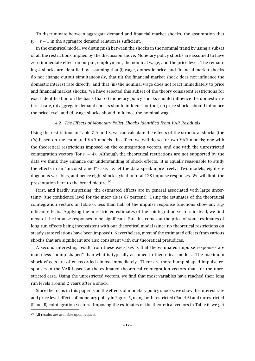To discriminate between aggregate demand and financial market shocks, the assumption that  $t<sub>v</sub> = t - 1$  in the aggregate demand relation is sufficient.

In the empirical model, we distinguish between the shocks in the nominal trend by using a subset of all the restrictions implied by the discussion above. Monetary policy shocks are assumed to have zero immediate effect on output, employment, the nominal wage, and the price level. The remaining 4 shocks are identified by assuming that (i) wage, domestic price, and financial market shocks do not change output simultaneously, that (ii) the financial market shock does not influence the domestic interest rate directly, and that (iii) the nominal wage does not react immediately to price and financial market shocks. We have selected this subset of the theory consistent restrictions for exact identification on the basis that (a) monetary policy shocks should influence the domestic interest rate, (b) aggregate demand shocks should influence output, (c) price shocks should influence the price level, and (d) wage shocks should influence the nominal wage.

#### 4.2. *The Effects of Monetary Policy Shocks Identified from VAR Residuals*

Using the restrictions in Table 7 A and B, we can calculate the effects of the structural shocks (the *ε*'s) based on the estimated VAR models. In effect, we will do so for two VAR models; one with the theoretical restrictions imposed on the cointegration vectors, and one with the unrestricted cointegration vectors (for  $r = 4$ ). Although the theoretical restrictions are not supported by the data we think they enhance our understanding of shock effects. It is equally reasonable to study the effects in an "unconstrained" case, i.e. let the data speak more freely. Two models, eight endogenous variables, and hence eight shocks, yield in total 128 impulse responses. We will limit the presentation here to the broad picture.<sup>20</sup>

First, and hardly surprising, the estimated effects are in general associated with large uncertainty (the confidence level for the intervals is 67 percent). Using the estimates of the theoretical cointegration vectors in Table 6, less than half of the impulse response functions show any significant effects. Applying the unrestricted estimates of the cointegration vectors instead, we find most of the impulse responses to be significant. But this comes at the price of some estimates of long run effects being inconsistent with our theoretical model (since no theoretical restrictions on steady state relations have been imposed). Nevertheless, most of the estimated effects from various shocks that are significant are also consistent with our theoretical prejudices.

A second interesting result from these exercises is that the estimated impulse responses are much less "hump shaped" than what is typically assumed in theoretical models. The maximum shock effects are often recorded almost immediately. There are more hump shaped impulse responses in the VAR based on the estimated theoretical cointegration vectors than for the unrestricted case. Using the unrestricted vectors, we find that most variables have reached their long run levels around 2 years after a shock.

Since the focus in this paper is on the effects of monetary policy shocks, we show the interest rate and price level effects of monetary policy in Figure 5, using both restricted (Panel A) and unrestricted (Panel B) cointegration vectors. Imposing the estimates of the theoretical vectors in Table 6, we get

<sup>20</sup> All results are available upon request.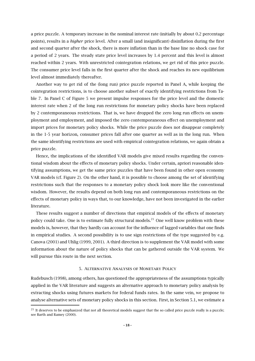a price puzzle. A temporary increase in the nominal interest rate (initially by about 0.2 percentage points), results in a *higher* price level. After a small (and insignificant) disinflation during the first and second quarter after the shock, there is more inflation than in the base line no shock case for a period of 2 years. The steady state price level increases by 1.4 percent and this level is almost reached within 2 years. With unrestricted cointegration relations, we get rid of this price puzzle. The consumer price level falls in the first quarter after the shock and reaches its new equilibrium level almost immediately thereafter.

Another way to get rid of the (long run) price puzzle reported in Panel A, while keeping the cointegration restrictions, is to choose another subset of exactly identifying restrictions from Table 7. In Panel C of Figure 5 we present impulse responses for the price level and the domestic interest rate when 2 of the long run restrictions for monetary policy shocks have been replaced by 2 contemporaneous restrictions. That is, we have dropped the zero long run effects on unemployment and employment, and imposed the zero contemporaneous effect on unemployment and import prices for monetary policy shocks. While the price puzzle does not disappear completely in the 1-5 year horizon, consumer prices fall after one quarter as well as in the long run. When the same identifying restrictions are used with empirical cointegration relations, we again obtain a price puzzle.

Hence, the implications of the identified VAR models give mixed results regarding the conventional wisdom about the effects of monetary policy shocks. Under certain, apriori reasonable identifying assumptions, we get the same price puzzles that have been found in other open economy VAR models (cf. Figure 2). On the other hand, it is possible to choose among the set of identifying restrictions such that the responses to a monetary policy shock look more like the conventional wisdom. However, the results depend on both long run and contemporaneous restrictions on the effects of monetary policy in ways that, to our knowledge, have not been investigated in the earlier literature.

These results suggest a number of directions that empirical models of the effects of monetary policy could take. One is to estimate fully structural models.<sup>21</sup> One well know problem with these models is, however, that they hardly can account for the influence of lagged variables that one finds in empirical studies. A second possibility is to use sign restrictions of the type suggested by e.g. Canova (2001) and Uhlig (1999, 2001). A third direction is to supplement the VAR model with some information about the nature of policy shocks that can be gathered outside the VAR system. We will pursue this route in the next section.

#### 5. Alternative Analyses of Monetary Policy

Rudebusch (1998), among others, has questioned the appropriateness of the assumptions typically applied in the VAR literature and suggests an alternative approach to monetary policy analysis by extracting shocks using futures markets for federal funds rates. In the same vein, we propose to analyse alternative sets of monetary policy shocks in this section. First, in Section 5.1, we estimate a

 $21$  It deserves to be emphasized that not all theoretical models suggest that the so called price puzzle really is a puzzle; see Barth and Ramey (2000).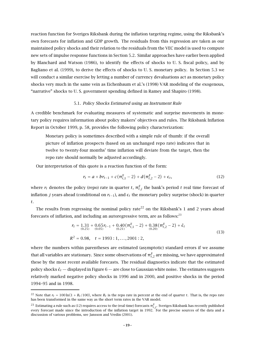reaction function for Sveriges Riksbank during the inflation targeting regime, using the Riksbank's own forecasts for inflation and GDP growth. The residuals from this regression are taken as our maintained policy shocks and their relation to the residuals from the VEC model is used to compute new sets of impulse response functions in Section 5.2. Similar approaches have earlier been applied by Blanchard and Watson (1986), to identify the effects of shocks to U. S. fiscal policy, and by Bagliano et al. (1999), to derive the effects of shocks to U. S. monetary policy. In Section 5.3 we will conduct a similar exercise by letting a number of currency devaluations act as monetary policy shocks very much in the same vein as Eichenbaum et al.'s (1998) VAR modeling of the exogenous, "narrative" shocks to U. S. government spending defined in Ramey and Shapiro (1998).

#### 5.1. *Policy Shocks Estimated using an Instrument Rule*

A credible benchmark for evaluating measures of systematic and surprise movements in monetary policy requires information about policy makers'objectives and rules. The Riksbank Inflation Report in October 1999, p. 58, provides the following policy characterization:

Monetary policy is sometimes described with a simple rule of thumb: if the overall picture of inflation prospects (based on an unchanged repo rate) indicates that in twelve to twenty-four months'time inflation will deviate from the target, then the repo rate should normally be adjusted accordingly.

Our interpretation of this quote is a reaction function of the form:

$$
r_t = a + br_{t-1} + c(\pi_{t,1}^F - 2) + d(\pi_{t,2}^F - 2) + \epsilon_t,
$$
\n(12)

where  $r_t$  denotes the policy (repo) rate in quarter  $t$ ,  $\pi^{\text{F}}_{t,j}$  the bank's period  $t$  real time forecast of inflation *j* years ahead (conditional on  $r_{t-1}$ ), and  $\epsilon_t$  the monetary policy surprise (shock) in quarter *t*.

The results from regressing the nominal policy rate<sup>22</sup> on the Riksbank's 1 and 2 years ahead forecasts of inflation, and including an autoregressive term, are as follows: $^{23}$ 

$$
r_{t} = 1.31 + 0.65r_{t-1} + 0.40(\pi_{t,1}^{F} - 2) + 0.38(\pi_{t,2}^{F} - 2) + \hat{\epsilon}_{t}
$$
  
(0.25) (0.05)  

$$
R^{2} = 0.98, \quad t = 1993 : 1, ..., 2001 : 2,
$$
 (13)

where the numbers within parentheses are estimated (asymptotic) standard errors if we assume that all variables are stationary. Since some observations of  $\pi^{\text{\tiny F}}_{t,2}$  are missing, we have approximated these by the most recent available forecasts. The residual diagnostics indicate that the estimated policy shocks  $\hat{\epsilon}_t$  — displayed in Figure 6 — are close to Gaussian white noise. The estimates suggests relatively marked negative policy shocks in 1996 and in 2000, and positive shocks in the period 1994–95 and in 1998.

<sup>&</sup>lt;sup>22</sup> Note that  $r_t = 100 \ln(1 + R_t/100)$ , where  $R_t$  is the repo rate in percent at the end of quarter *t*. That is, the repo rate has been transformed in the same way as the short term rates in the VAR model.

 $^{23}$  Estimating a rule such as (12) requires access to the (real time) forecasts  $\pi^F_{t,j}$ . Sveriges Riksbank has recently published every forecast made since the introduction of the inflation target in 1992. For the precise sources of the data and a discussion of various problems, see Jansson and Vredin (2001).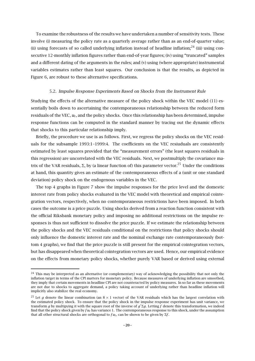To examine the robustness of the results we have undertaken a number of sensitivity tests. These involve (i) measuring the policy rate as a quarterly average rather than as an end-of-quarter value; (ii) using forecasts of so called underlying inflation instead of headline inflation; $^{24}$  (iii) using consecutive 12-monthly inflation figures rather than end-of-year figures; (iv) using "truncated" samples and a different dating of the arguments in the rules; and (v) using (where appropriate) instrumental variables estimates rather than least squares. Our conclusion is that the results, as depicted in Figure 6, are robust to these alternative specifications.

#### 5.2. *Impulse Response Experiments Based on Shocks from the Instrument Rule*

Studying the effects of the alternative measure of the policy shock within the VEC model (11) essentially boils down to ascertaining the contemporaneous relationship between the reduced form residuals of the VEC, *ut*, and the policy shocks. Once this relationship has been determined, impulse response functions can be computed in the standard manner by tracing out the dynamic effects that shocks to this particular relationship imply.

Briefly, the procedure we use is as follows. First, we regress the policy shocks on the VEC residuals for the subsample 1993:1–1999:4. The coefficients on the VEC resiuduals are consistently estimated by least squares provided that the "measurement errors" (the least squares residuals in this regression) are uncorrelated with the VEC residuals. Next, we postmultiply the covariance matrix of the VAR residuals, Σ, by (a linear function of) this parameter vector.<sup>25</sup> Under the conditions at hand, this quantity gives an estimate of the contemporaneous effects of a (unit or one standard deviation) policy shock on the endogenous variables in the VEC.

The top 4 graphs in Figure 7 show the impulse responses for the price level and the domestic interest rate from policy shocks evaluated in the VEC model with theoretical and empirical cointegration vectors, respectively, when no contemporaneous restrictions have been imposed. In both cases the outcome is a price puzzle. Using shocks derived from a reaction function consistent with the official Riksbank monetary policy and imposing no additional restrictions on the impulse responses is thus not sufficient to dissolve the price puzzle. If we estimate the relationship between the policy shocks and the VEC residuals conditional on the restrictions that policy shocks should only influence the domestic interest rate and the nominal exchange rate contemporaneously (bottom 4 graphs), we find that the price puzzle is still present for the empirical cointegration vectors, but has disappeared when theoretical cointegration vectors are used. Hence, our empirical evidence on the effects from monetary policy shocks, whether purely VAR based or derived using external

<sup>&</sup>lt;sup>24</sup> This may be interpreted as an alternative (or complementary) way of acknowledging the possibility that not only the inflation target in terms of the CPI matters for monetary policy. Because measures of underlying inflation are smoothed, they imply that certain movements in headline CPI are not counteracted by policy measures. In so far as these movements are not due to shocks to aggregate demand, a policy taking account of underlying rather than headline inflation will implicitly also stabilize the real economy.

<sup>&</sup>lt;sup>25</sup> Let *g* denote the linear combination (an  $8 \times 1$  vector) of the VAR residuals which has the largest correlation with the estimated policy shock. To ensure that the policy shock in the impulse response experiment has unit variance, we transform *g* by multipying it with the square root of the inverse of *g'* Σ*g*. Letting *f* denote this transformation, we indeed find that the policy shock given by *f ut* has variance 1. The contemporaneous response to this shock, under the assumption that all other structural shocks are orthogonal to  $fu_t$ , can be shown to be given by  $\Sigma f$ .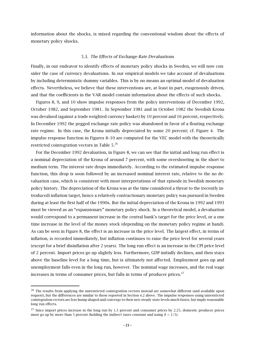information about the shocks, is mixed regarding the conventional wisdom about the effects of monetary policy shocks.

#### 5.3. The Effects of Exchange Rate Devaluations

Finally, in our endeavor to identify effects of monetary policy shocks in Sweden, we will now consider the case of currency devaluations. In our empirical models we take account of devaluations by including deterministic dummy variables. This is by no means an optimal model of devaluation effects. Nevertheless, we believe that these interventions are, at least in part, exogenously driven, and that the coefficients in the VAR model contain information about the effects of such shocks.

Figures 8, 9, and 10 show impulse responses from the policy interventions of December 1992, October 1982, and September 1981. In September 1981 and in October 1982 the Swedish Krona was devalued (against a trade weighted currency basket) by 10 percent and 16 percent, respectively. In December 1992 the pegged exchange rate policy was abandoned in favor of a floating exchange rate regime. In this case, the Krona initially depreciated by some 20 percent; cf. Figure 4. The impulse response function in Figures 8–10 are computed for the VEC model with the theoretically restricted cointegration vectors in Table 5.26

For the December 1992 devaluation, in Figure 8, we can see that the initial and long run effect is a nominal depreciation of the Krona of around 7 percent, with some overshooting in the short to medium term. The interest rate drops immediately. According to the estimated impulse response function, this drop is soon followed by an increased nominal interest rate, relative to the no devaluation case, which is consistent with most interpretations of that episode in Swedish monetary policy history. The depreciation of the Krona was at the time considered a threat to the (recently introduced) inflation target, hence a relatively contractionary monetary policy was pursued in Sweden during at least the first half of the 1990s. But the initial depreciation of the Krona in 1992 and 1993 must be viewed as an "expansionary" monetary policy shock. In a theoretical model, a devaluation would correspond to a permanent increase in the central bank's target for the price level, or a one time increase in the level of the money stock (depending on the monetary policy regime at hand). As can be seen in Figure 8, the effect is an increase in the price level. The largest effect, in terms of inflation, is recorded immediately, but inflation continues to raise the price level for several years (except for a brief disinflation after 2 years). The long run effect is an increase in the CPI price level of 2 percent. Import prices go up slightly less. Furthermore, GDP initially declines, and then stays above the baseline level for a long time, but is ultimately not affected. Employment goes up and unemployment falls even in the long run, however. The nominal wage increases, and the real wage increases in terms of consumer prices, but falls in terms of producer prices. $27$ 

 $26$  The results from applying the unrestricted cointegration vectors instead are somewhat different (and available upon request), but the differences are similar to those reported in Section 4.2 above. The impulse responses using unrestricted cointegration vectors are less hump shaped and converge to their new steady state levels much faster, but imply reasonable long run effects.

 $27$  Since import prices increase in the long run by 1.5 percent and consumer prices by 2.25, domestic producer prices must go up by more than 5 percent (holding the indirect taxes constant and using  $\delta = 1/5$ ).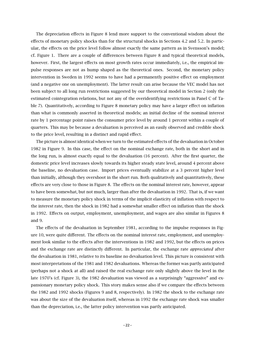The depreciation effects in Figure 8 lend more support to the conventional wisdom about the effects of monetary policy shocks than for the structural shocks in Sections 4.2 and 5.2. In particular, the effects on the price level follow almost exactly the same pattern as in Svensson's model; cf. Figure 1. There are a couple of differences between Figure 8 and typical theoretical models, however. First, the largest effects on most growth rates occur immediately, i.e., the empirical impulse responses are not as hump shaped as the theoretical ones. Second, the monetary policy intervention in Sweden in 1992 seems to have had a permanently positive effect on employment (and a negative one on unemployment). The latter result can arise because the VEC model has not been subject to all long run restrictions suggested by our theoretical model in Section 2 (only the estimated cointegration relations, but not any of the overidentifying restrictions in Panel C of Table 7). Quantitatively, according to Figure 8 monetary policy may have a larger effect on inflation than what is commonly asserted in theoretical models; an initial decline of the nominal interest rate by 1 percentage point raises the consumer price level by around 1 percent within a couple of quarters. This may be because a devaluation is perceived as an easily observed and credible shock to the price level, resulting in a distinct and rapid effect.

The picture is almost identical when we turn to the estimated effects of the devaluation in October 1982 in Figure 9. In this case, the effect on the nominal exchange rate, both in the short and in the long run, is almost exactly equal to the devaluation (16 percent). After the first quarter, the domestic price level increases slowly towards its higher steady state level, around 4 percent above the baseline, no devaluation case. Import prices eventually stabilize at a 3 percent higher level than initially, although they overshoot in the short run. Both qualitatively and quantitatively, these effects are very close to those in Figure 8. The effects on the nominal interest rate, however, appear to have been somewhat, but not much, larger than after the devaluation in 1992. That is, if we want to measure the monetary policy shock in terms of the implicit elasticity of inflation with respect to the interest rate, then the shock in 1982 had a somewhat smaller effect on inflation than the shock in 1992. Effects on output, employment, unemployment, and wages are also similar in Figures 8 and 9.

The effects of the devaluation in September 1981, according to the impulse responses in Figure 10, were quite different. The effects on the nominal interest rate, employment, and unemployment look similar to the effects after the interventions in 1982 and 1992, but the effects on prices and the exchange rate are distinctly different. In particular, the exchange rate *appreciated* after the devaluation in 1981, relative to its baseline no devaluation level. This picture is consistent with most interpretations of the 1981 and 1982 devaluations. Whereas the former was partly anticipated (perhaps not a shock at all) and raised the real exchange rate only slightly above the level in the late 1970's (cf. Figure 3), the 1982 devaluation was viewed as a surprisingly "aggressive" and expansionary monetary policy shock. This story makes sense also if we compare the effects between the 1982 and 1992 shocks (Figures 9 and 8, respectively). In 1982 the shock to the exchange rate was about the size of the devaluation itself, whereas in 1992 the exchange rate shock was smaller than the depreciation, i.e., the latter policy intervention was partly anticipated.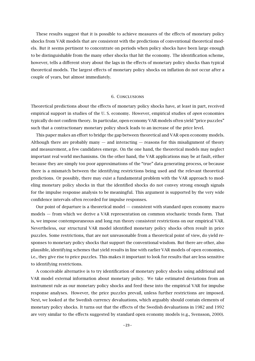These results suggest that it is possible to achieve measures of the effects of monetary policy shocks from VAR models that are consistent with the predictions of conventional theoretical models. But it seems pertinent to concentrate on periods when policy shocks have been large enough to be distinguishable from the many other shocks that hit the economy. The identification scheme, however, tells a different story about the lags in the effects of monetary policy shocks than typical theoretical models. The largest effects of monetary policy shocks on inflation do not occur after a couple of years, but almost immediately.

#### 6. Conclusions

Theoretical predictions about the effects of monetary policy shocks have, at least in part, received empirical support in studies of the U. S. economy. However, empirical studies of *open* economies typically do not confirm theory. In particular, open economy VAR models often yield "price puzzles" such that a contractionary monetary policy shock leads to an increase of the price level.

This paper makes an effort to bridge the gap between theoretical and VAR open economy models. Although there are probably many  $-$  and interacting  $-$  reasons for this misalignment of theory and measurement, a few candidates emerge. On the one hand, the theoretical models may neglect important real world mechanisms. On the other hand, the VAR applications may be at fault, either because they are simply too poor approximations of the "true" data generating process, or because there is a mismatch between the identifying restrictions being used and the relevant theoretical predictions. Or possibly, there may exist a fundamental problem with the VAR approach to modeling monetary policy shocks in that the identified shocks do not convey strong enough signals for the impulse response analysis to be meaningful. This argument is supported by the very wide confidence intervals often recorded for impulse responses.

Our point of departure is a theoretical model — consistent with standard open economy macro models — from which we derive a VAR representation on common stochastic trends form. That is, we impose contemporaneous and long run theory consistent restrictions on our empirical VAR. Nevertheless, our structural VAR model identified monetary policy shocks often result in price puzzles. Some restrictions, that are not unreasonable from a theoretical point of view, do yield responses to monetary policy shocks that support the conventional wisdom. But there are other, also plausible, identifying schemes that yield results in line with earlier VAR models of open economies, i.e., they give rise to price puzzles. This makes it important to look for results that are less sensitive to identifying restrictions.

A conceivable alternative is to try identification of monetary policy shocks using additional and VAR model external information about monetary policy. We take estimated deviations from an instrument rule as our monetary policy shocks and feed these into the empirical VAR for impulse response analyses. However, the price puzzles prevail, unless further restrictions are imposed. Next, we looked at the Swedish currency devaluations, which arguably should contain elements of monetary policy shocks. It turns out that the effects of the Swedish devaluations in 1982 and 1992 are very similar to the effects suggested by standard open economy models (e.g., Svensson, 2000).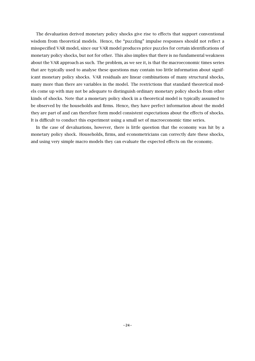The devaluation derived monetary policy shocks give rise to effects that support conventional wisdom from theoretical models. Hence, the "puzzling" impulse responses should not reflect a misspecified VAR model, since our VAR model produces price puzzles for certain identifications of monetary policy shocks, but not for other. This also implies that there is no fundamental weakness about the VAR approach as such. The problem, as we see it, is that the macroeconomic times series that are typically used to analyse these questions may contain too little information about significant monetary policy shocks. VAR residuals are linear combinations of many structural shocks, many more than there are variables in the model. The restrictions that standard theoretical models come up with may not be adequate to distinguish ordinary monetary policy shocks from other kinds of shocks. Note that a monetary policy shock in a theoretical model is typically assumed to be observed by the households and firms. Hence, they have perfect information about the model they are part of and can therefore form model consistent expectations about the effects of shocks. It is difficult to conduct this experiment using a small set of macroeconomic time series.

In the case of devaluations, however, there is little question that the economy was hit by a monetary policy shock. Households, firms, and econometricians can correctly date these shocks, and using very simple macro models they can evaluate the expected effects on the economy.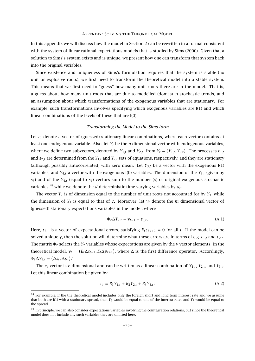#### Appendix: Solving the Theoretical Model

In this appendix we will discuss how the model in Section 2 can be rewritten in a format consistent with the system of linear rational expectations models that is studied by Sims (2000). Given that a solution to Sims's system exists and is unique, we present how one can transform that system back into the original variables.

Since existence and uniqueness of Sims's formulation requires that the system is stable (no unit or explosive roots), we first need to transform the theoretical model into a stable system. This means that we first need to "guess" how many unit roots there are in the model. That is, a guess about how many unit roots that are due to modelled (domestic) stochastic trends, and an assumption about which transformations of the exogenous variables that are stationary. For example, such transformations involves specifying which exogenous variables are I(1) and which linear combinations of the levels of these that are I(0).

#### *Transforming the Model to the Sims form*

Let  $c_t$  denote a vector of (guessed) stationary linear combinations, where each vector contains at least one endogenous variable. Also, let *Yt* be the *n* dimensional vector with endogenous variables, where we define two subvectors, denoted by  $Y_{1,t}$  and  $Y_{2,t}$ , from  $Y_t = (Y_{1,t}, Y_{2,t})$ . The processes  $\varepsilon_{1,t}$ and  $\varepsilon_{2,t}$  are determined from the  $Y_{1,t}$  and  $Y_{2,t}$  sets of equations, respectively, and they are stationary (although possibly autocorrelated) with zero mean. Let  $Y_{3,t}$  be a vector with the exogenous I(1) variables, and  $Y_{4,t}$  a vector with the exogenous I(0) variables. The dimension of the  $Y_{3,t}$  (given by *s*3) and of the *Y*4*,t* (equal to *s*4) vectors sum to the number (*s*) of original exogenous stochastic variables,<sup>28</sup> while we denote the  $d$  deterministic time varying variables by  $d_t$ .

The vector  $Y_2$  is of dimension equal to the number of unit roots not accounted for by  $Y_3$ , while the dimension of  $Y_1$  is equal to that of *c*. Moreover, let  $v_t$  denote the *m* dimensional vector of (guessed) stationary expectations variables in the model, where

$$
\Phi_2 \Delta Y_{2,t} = \nu_{t-1} + \varepsilon_{3,t}.\tag{A.1}
$$

Here,  $\varepsilon_{3,t}$  is a vector of expectational errors, satisfying  $E_t \varepsilon_{3,t+1} = 0$  for all *t*. If the model can be solved uniquely, then the solution will determine what these errors are in terms of e.g.  $\varepsilon_{1,t}$  and  $\varepsilon_{2,t}$ . The matrix Φ<sup>2</sup> selects the *Y*<sup>2</sup> variables whose expectations are given by the *v* vector elements. In the theoretical model,  $v_t = (E_t \Delta s_{t+1}, E_t \Delta p_{t+1})$ , where  $\Delta$  is the first difference operator. Accordingly,  $\Phi_2 \Delta Y_{2,t} = (\Delta s_t, \Delta p_t)^{29}$ 

The  $c_t$  vector is *r* dimensional and can be written as a linear combination of  $Y_{1,t}$ ,  $Y_{2,t}$ , and  $Y_{3,t}$ . Let this linear combination be given by:

$$
c_t \equiv B_1 Y_{1,t} + B_2 Y_{2,t} + B_3 Y_{3,t}.
$$
 (A.2)

<sup>&</sup>lt;sup>28</sup> For example, if the the theoretical model includes only the foreign short and long term interest rate and we assume that both are I(1) with a stationary spread, then *Y*3 would be equal to one of the interest rates and *Y*4 would be equal to the spread.

 $^{29}$  In principle, we can also consider expectations variables involving the cointegration relations, but since the theoretical model does not include any such variables they are omitted here.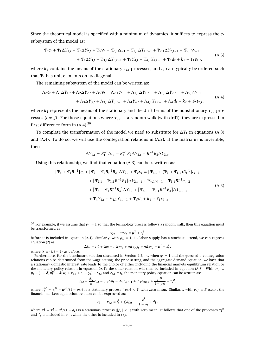Since the theoretical model is specified with a minimum of dynamics, it suffices to express the  $c_t$ subsystem of the model as:

$$
\Psi_{c}c_{t} + \Psi_{1}\Delta Y_{1,t} + \Psi_{2}\Delta Y_{2,t} + \Psi_{\nu}\nu_{t} = \Psi_{c,1}c_{t-1} + \Psi_{1,1}\Delta Y_{1,t-1} + \Psi_{2,1}\Delta Y_{2,t-1} + \Psi_{\nu,1}\nu_{t-1} + \Psi_{3}\Delta Y_{3,t} + \Psi_{3,1}\Delta Y_{3,t-1} + \Psi_{4}Y_{4,t} + \Psi_{4,1}Y_{4,t-1} + \Psi_{d}d_{t} + k_{1} + Y_{1}\varepsilon_{1,t},
$$
\n(A.3)

where  $k_1$  contains the means of the stationary  $\tau_{i,t}$  processes, and  $c_t$  can typically be ordered such that Ψ*<sup>c</sup>* has unit elements on its diagonal.

The remaining subsystem of the model can be written as:

$$
\Lambda_c c_t + \Lambda_1 \Delta Y_{1,t} + \Lambda_2 \Delta Y_{2,t} + \Lambda_\nu v_t = \Lambda_{c,1} c_{t-1} + \Lambda_{1,1} \Delta Y_{1,t-1} + \Lambda_{2,1} \Delta Y_{2,t-1} + \Lambda_{\nu,1} v_{t-1} + \Lambda_3 \Delta Y_{3,t} + \Lambda_{3,1} \Delta Y_{3,t-1} + \Lambda_4 Y_{4,t} + \Lambda_{4,1} Y_{4,t-1} + \Lambda_d d_t + k_2 + Y_2 \varepsilon_{2,t},
$$
\n(A.4)

where  $k_2$  represents the means of the stationary and the drift terms of the nonstationary  $\tau_{j,t}$  processes ( $i \neq j$ ). For those equations where  $\tau_{j,t}$  is a random walk (with drift), they are expressed in first difference form in  $(A.4)^{30}$ 

To complete the transformation of the model we need to substitute for ∆*Y*<sup>1</sup> in equations (A.3) and (A.4). To do so, we will use the cointegration relations in (A.2). If the matrix  $B_1$  is invertible, then

$$
\Delta Y_{1,t} = B_1^{-1} \Delta c_t - B_1^{-1} B_2 \Delta Y_{2,t} - B_1^{-1} B_3 \Delta Y_{3,t}.
$$

Using this relationship, we find that equation (A.3) can be rewritten as:

$$
[\Psi_{c} + \Psi_{1}B_{1}^{-1}]c_{t} + [\Psi_{2} - \Psi_{1}B_{1}^{-1}B_{2}]\Delta Y_{2,t} + \Psi_{v}v_{t} = [\Psi_{c,1} + (\Psi_{1} + \Psi_{1,1})B_{1}^{-1}]c_{t-1}
$$
  
+ 
$$
[\Psi_{2,1} - \Psi_{1,1}B_{1}^{-1}B_{2}]\Delta Y_{2,t-1} + \Psi_{v,1}v_{t-1} - \Psi_{1,1}B_{1}^{-1}c_{t-2}
$$
  
+ 
$$
[\Psi_{3} + \Psi_{1}B_{1}^{-1}B_{3}]\Delta Y_{3,t} + [\Psi_{3,1} - \Psi_{1,1}B_{1}^{-1}B_{3}]\Delta Y_{3,t-1}
$$
  
+ 
$$
\Psi_{4}Y_{4,t} + \Psi_{4,1}Y_{4,t-1} + \Psi_{d}d_{t} + k_{1} + Y_{1}\varepsilon_{1,t},
$$
 (A.5)

$$
\Delta y_t - \kappa \Delta e_t = \mu^T + \varepsilon_t^T,
$$

before it is included in equation (A.4). Similarly, with  $\rho_L = 1$ , i.e. labor supply has a stochastic trend, we can express equation (2) as

$$
\Delta(l_t - e_t) + \Delta e_t - \eta \Delta w_{t_L} + \eta \Delta v_{y,t_L} + \eta \Delta p_{t_L} = \mu^L + \varepsilon_t^L,
$$

where  $t_I \in \{t, t-1\}$  as before.

$$
c_{3,t} + \frac{\phi_2}{\delta}c_{2,t} - \phi_1 \Delta p_t = \phi_3 c_{3,t-1} + \phi_4 d_{\text{mp},t} + \frac{\mu^M}{1 - \rho_M} + \tilde{\tau}_t^M,
$$

where  $\tilde\tau^M_t=\tau^M_t-\mu^M/(1-\rho_M)$  is a stationary process (| $\rho_M|< 1$ ) with zero mean. Similarly, with  $v_{s,t}\equiv E_t\Delta s_{t+1}$ , the financial markets equilibrium relation can be expressed as:

$$
c_{3,t} - v_{s,t} = i_t^f + \zeta d_{\text{fm},t} + \frac{\mu^I}{1 - \rho_I} + \tilde{\tau}_t^I,
$$

where  $\tilde\tau^I_t=\tau^I_t-\mu^I/(1-\rho_I)$  is a stationary process (| $\rho_I|< 1$ ) with zero mean. It follows that one of the processes  $\tilde\tau^M_t$ and  $\tilde{\tau}_t^I$  is included in  $\varepsilon_{1,t}$ , while the other is included in  $\varepsilon_{2,t}$ .

<sup>&</sup>lt;sup>30</sup> For example, if we assume that  $\rho_T = 1$  so that the technology process follows a random walk, then this equation must be transformed as

Furthermore, for the benchmark solution discussed in Section 2.2, i.e. when  $\psi = 1$  and the guessed 4 cointegration relations can be determined from the wage setting, the price setting, and the aggregate demand equation, we have that a stationary domestic interest rate leads to the choice of either including the financial markets equilibrium relation or the monetary policy relation in equation (A.4); the other relation will then be included in equation (A.3). With  $c_{2,t}$  ≡  $p_t - (1 - \delta)p_t^m - \delta(w_t + v_{p,t} + e_t - y_t) - v_{i,t}$  and  $c_{3,t} \equiv i_t$ , the monetary policy equation can be written as: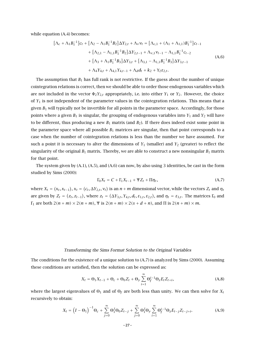while equation (A.4) becomes:

$$
[\Lambda_c + \Lambda_1 B_1^{-1}]c_t + [\Lambda_2 - \Lambda_1 B_1^{-1} B_2] \Delta Y_{2,t} + \Lambda_v \nu_t = [\Lambda_{c,1} + (\Lambda_1 + \Lambda_{1,1}) B_1^{-1}]c_{t-1}
$$
  
+  $[\Lambda_{2,1} - \Lambda_{1,1} B_1^{-1} B_2] \Delta Y_{2,t-1} + \Lambda_{v,1} \nu_{t-1} - \Lambda_{1,1} B_1^{-1} c_{t-2}$   
+  $[\Lambda_3 + \Lambda_1 B_1^{-1} B_3] \Delta Y_{3,t} + [\Lambda_{3,1} - \Lambda_{1,1} B_1^{-1} B_3] \Delta Y_{3,t-1}$   
+  $\Lambda_4 Y_{4,t} + \Lambda_{4,1} Y_{4,t-1} + \Lambda_d d_t + k_2 + Y_2 \varepsilon_{2,t}.$  (A.6)

The assumption that  $B_1$  has full rank is not restrictive. If the guess about the number of unique cointegration relations is correct, then we should be able to order those endogenous variables which are not included in the vector  $\Phi_2 Y_{2,t}$  appropriately, i.e. into either  $Y_1$  or  $Y_2$ . However, the choice of *Y*<sup>1</sup> is not independent of the parameter values in the cointegration relations. This means that a given  $B_1$  will typically not be invertible for all points in the parameter space. Accordingly, for those points where a given  $B_1$  is singular, the grouping of endogenous variables into  $Y_1$  and  $Y_2$  will have to be different, thus producing a new *B*<sup>1</sup> matrix (and *B*2). If there does indeed exist some point in the parameter space where all possible  $B_1$  matrices are singular, then that point corresponds to a case when the number of cointegration relations is less than the number we have assumed. For such a point it is necessary to alter the dimensions of  $Y_1$  (smaller) and  $Y_2$  (greater) to reflect the singularity of the original  $B_1$  matrix. Thereby, we are able to construct a new nonsingular  $B_1$  matrix for that point.

The system given by (A.1), (A.5), and (A.6) can now, by also using 3 identities, be cast in the form studied by Sims (2000):

$$
\Gamma_0 X_t = C + \Gamma_1 X_{t-1} + \Psi Z_t + \Pi \eta_t, \tag{A.7}
$$

where  $X_t = (x_t, x_{t-1}), x_t = (c_t, \Delta Y_{2,t}, v_t)$  is an  $n + m$  dimensional vector, while the vectors  $Z_t$  and  $\eta_t$ are given by  $Z_t = (z_t, z_{t-1})$ , where  $z_t = (\Delta Y_{3,t}, Y_{4,t}, d_t, \varepsilon_{1,t}, \varepsilon_{2,t})$ , and  $\eta_t = \varepsilon_{3,t}$ . The matrices  $\Gamma_0$  and  $Γ_1$  are both  $2(n + m) \times 2(n + m)$ , Ψ is  $2(n + m) \times 2(s + d + n)$ , and Π is  $2(n + m) \times m$ .

#### *Transforming the Sims Format Solution to the Original Variables*

The conditions for the existence of a unique solution to (A.7) is analyzed by Sims (2000). Assuming these conditions are satisfied, then the solution can be expressed as:

$$
X_t = \Theta_1 X_{t-1} + \Theta_c + \Theta_0 Z_t + \Theta_y \sum_{i=1}^{\infty} \Theta_f^{i-1} \Theta_z E_t Z_{t+i},
$$
\n(A.8)

where the largest eigenvalues of  $\Theta_1$  and of  $\Theta_f$  are both less than unity. We can then solve for  $X_t$ recursively to obtain:

$$
X_t = \left(I - \Theta_1\right)^{-1} \Theta_c + \sum_{j=0}^{\infty} \Theta_1^j \Theta_0 Z_{t-j} + \sum_{j=0}^{\infty} \Theta_1^j \Theta_y \sum_{i=1}^{\infty} \Theta_f^{i-1} \Theta_z E_{t-j} Z_{t-j+i}.
$$
 (A.9)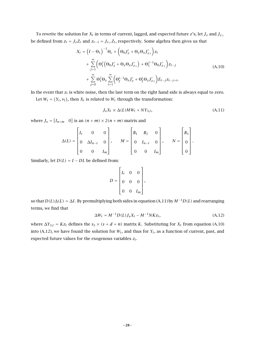To rewrite the solution for *Xt* in terms of current, lagged, and expected future *z*'s, let *Jz* and *Jz*<sup>⊥</sup> be defined from  $z_t = J_z Z_t$  and  $z_{t-1} = J_{z\perp} Z_t$ , respectively. Some algebra then gives us that

$$
X_t = (I - \Theta_1)^{-1} \Theta_c + (\Theta_0 J'_z + \Theta_y \Theta_z J'_{z\perp}) z_t + \sum_{j=1}^{\infty} (\Theta_1^j (\Theta_0 J'_z + \Theta_y \Theta_z J'_{z\perp}) + \Theta_1^{j-1} \Theta_0 J'_{z\perp}) z_{t-j} + \sum_{j=0}^{\infty} \Theta_1^j \Theta_y \sum_{i=1}^{\infty} (\Theta_f^{i-1} \Theta_z J'_z + \Theta_f^i \Theta_z J'_{z\perp}) E_{t-j} z_{t-j+i}.
$$
 (A.10)

In the event that  $z_t$  is white noise, then the last term on the right hand side is always equal to zero.

Let  $W_t = (Y_t, v_t)$ , then  $X_t$  is related to  $W_t$  through the transformation:

$$
J_x X_t \equiv \Delta(L) M W_t + N Y_{3,t}, \qquad (A.11)
$$

where  $J_x = [I_{n+m} \ 0]$  is an  $(n+m) \times 2(n+m)$  matrix and

$$
\Delta(L) = \begin{bmatrix} I_r & 0 & 0 \\ 0 & \Delta I_{n-r} & 0 \\ 0 & 0 & I_m \end{bmatrix}, \qquad M = \begin{bmatrix} B_1 & B_2 & 0 \\ 0 & I_{n-r} & 0 \\ 0 & 0 & I_m \end{bmatrix}, \qquad N = \begin{bmatrix} B_3 \\ 0 \\ 0 \end{bmatrix}.
$$

Similarly, let  $D(L) = I - DL$  be defined from:

$$
D = \begin{bmatrix} I_r & 0 & 0 \\ 0 & 0 & 0 \\ 0 & 0 & I_m \end{bmatrix},
$$

so that *D(L)*∆*(L)* = ∆*I*. By premultiplying both sides in equation (A.11) by *M*−1*D(L)* and rearranging terms, we find that

$$
\Delta W_t = M^{-1} D(L) J_x X_t - M^{-1} N K z_t, \qquad (A.12)
$$

where  $\Delta Y_{3,t} = Kz_t$  defines the  $s_3 \times (s + d + n)$  matrix *K*. Substituting for  $X_t$  from equation (A.10) into (A.12), we have found the solution for  $W_t$ , and thus for  $Y_t$ , as a function of current, past, and expected future values for the exogenous variables *zt*.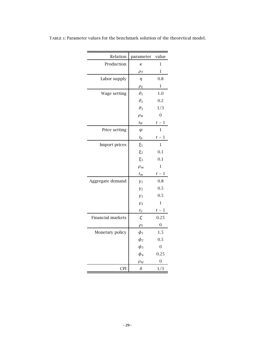| Relation          | parameter  | value          |
|-------------------|------------|----------------|
| Production        | K          | $\mathbf{1}$   |
|                   | $\rho_T$   | 1              |
| Labor supply      | $\eta$     | 0.8            |
|                   | $\rho_L$   | $\mathbf 1$    |
| Wage setting      | $\theta_1$ | 1.0            |
|                   | $\theta_2$ | 0.2            |
|                   | $\theta_3$ | 1/3            |
|                   | $\rho_W$   | $\overline{0}$ |
|                   | $t_W$      | $t-1$          |
| Price setting     | $\psi$     | $\mathbf{1}$   |
|                   | $t_p$      | $t-1$          |
| Import prices     | $\xi_1$    | 1              |
|                   | $\xi_2$    | 0.1            |
|                   | $\xi_3$    | 0.1            |
|                   | $\rho_m$   | 1              |
|                   | $t_m$      | $t-1$          |
| Aggregate demand  | $y_1$      | 0.8            |
|                   | $y_2$      | 0.5            |
|                   | $y_3$      | 0.5            |
|                   | $y_4$      | $\mathbf{1}$   |
|                   | $t_y$      | $t-1$          |
| Financial markets | ζ          | 0.25           |
|                   | $\rho_I$   | $\mathbf{0}$   |
| Monetary policy   | $\phi_1$   | 1.5            |
|                   | $\phi_2$   | 0.5            |
|                   | $\phi_3$   | $\overline{0}$ |
|                   | $\phi_4$   | 0.25           |
|                   | $\rho_M$   | 0              |
| <b>CPI</b>        | $\delta$   | 1/3            |

Table 1: Parameter values for the benchmark solution of the theoretical model.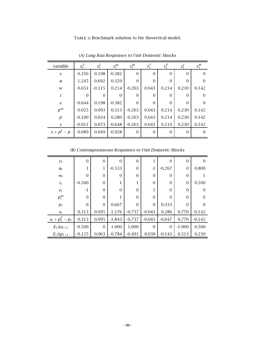TABLE 2: Benchmark solution to the theoretical model.

| variable         | $\varepsilon_t^T$ | $\varepsilon_t^L$ | $\varepsilon_t^m$ | $\varepsilon_t^M$ | $\varepsilon_t^y$ | $\varepsilon_t^p$ | $\varepsilon_t^I$ | $\varepsilon_t^W$ |
|------------------|-------------------|-------------------|-------------------|-------------------|-------------------|-------------------|-------------------|-------------------|
| $\mathcal{Y}$    | 0.356             | 0.198             | $-0.382$          | $\overline{0}$    | $\Omega$          | $\Omega$          | $\Omega$          | $\overline{0}$    |
| u                | 1.245             | 0.692             | 0.329             | $\theta$          | $\Omega$          | $\Omega$          | $\Omega$          | $\Omega$          |
| w                | 0.651             | $-0.115$          | 0.214             | $-0.263$          | 0.043             | 0.214             | 0.230             | 0.142             |
| i                | $\Omega$          | $\overline{0}$    | $\overline{0}$    | $\overline{0}$    | $\theta$          | $\Omega$          | $\Omega$          | $\Omega$          |
| $\boldsymbol{e}$ | $-0.644$          | 0.198             | $-0.382$          | $\overline{0}$    | $\overline{0}$    | $\Omega$          | $\Omega$          | $\Omega$          |
| $p^m$            | 0.025             | 0.093             | 0.313             | $-0.263$          | 0.043             | 0.214             | 0.230             | 0.142             |
| $\boldsymbol{p}$ | $-0.100$          | 0.024             | 0.280             | $-0.263$          | 0.043             | 0.214             | 0.230             | 0.142             |
| S                | $-0.011$          | 0.073             | $-0.648$          | $-0.263$          | 0.043             | 0.214             | 0.230             | 0.142             |
| $s + pf - p$     | 0.089             | 0.049             | $-0.928$          | $\overline{0}$    | $\Omega$          | $\Omega$          | $\Omega$          | $\Omega$          |

(A) *Long Run Responses to Unit Domestic Shocks*

(B) *Contemporaneous Responses to Unit Domestic Shocks*

| $y_t$                | $\boldsymbol{0}$ | $\boldsymbol{0}$ | $\overline{0}$ | $\overline{0}$ | 1              | $\Omega$ | $\theta$       | $\Omega$ |
|----------------------|------------------|------------------|----------------|----------------|----------------|----------|----------------|----------|
| $u_t$                | 1                | 1                | $-0.533$       | $\overline{0}$ | $-1$           | $-0.267$ | 0              | 0.800    |
| $W_t$                | $\overline{0}$   | $\theta$         | $\overline{0}$ | $\overline{0}$ | $\theta$       | $\Omega$ | $\overline{0}$ |          |
| $i_t$                | $-0.500$         | $\mathbf{0}$     | 1              | 1              | $\overline{0}$ | $\Omega$ | $\overline{0}$ | 0.500    |
| $e_t$                | $-1$             | $\overline{0}$   | $\theta$       | $\overline{0}$ | 1              | $\Omega$ | $\Omega$       | $\Omega$ |
| $p_t^m$              | $\overline{0}$   | $\overline{0}$   | 1              | $\Omega$       | $\theta$       | $\Omega$ | $\Omega$       | 0        |
| $p_t$                | $\mathbf{0}$     | $\mathbf{0}$     | 0.667          | $\overline{0}$ | $\theta$       | 0.333    | $\Omega$       |          |
| $S_t$                | 0.313            | 0.095            | $-1.176$       | $-0.737$       | $-0.043$       | 0.286    | 0.770          | $-0.142$ |
| $s_t + p_t^f - p_t$  | 0.313            | 0.095            | $-1.843$       | $-0.737$       | $-0.043$       | $-0.047$ | 0.770          | $-0.142$ |
| $E_t \Delta s_{t+1}$ | $-0.500$         | $\boldsymbol{0}$ | 1.000          | 1.000          | $\overline{0}$ | $\Omega$ | $-1.000$       | 0.500    |
| $E_t \Delta p_{t+1}$ | $-0.125$         | 0.063            | $-0.784$       | $-0.491$       | 0.038          | $-0.143$ | 0.513          | 0.239    |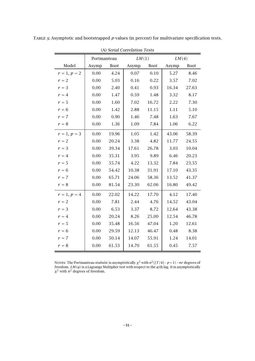|                | (A) Serial Correlation Tests |             |       |             |       |             |  |  |  |  |  |  |  |  |
|----------------|------------------------------|-------------|-------|-------------|-------|-------------|--|--|--|--|--|--|--|--|
|                | Portmanteau                  |             | LM(1) |             | LM(4) |             |  |  |  |  |  |  |  |  |
| Model          | Asymp                        | <b>Boot</b> | Asymp | <b>Boot</b> | Asymp | <b>Boot</b> |  |  |  |  |  |  |  |  |
| $r = 1, p = 2$ | 0.00                         | 4.24        | 0.07  | 0.10        | 5.27  | 8.46        |  |  |  |  |  |  |  |  |
| $r = 2$        | 0.00                         | 5.03        | 0.16  | 0.22        | 3.57  | 7.02        |  |  |  |  |  |  |  |  |
| $r = 3$        | 0.00                         | 2.40        | 0.41  | 0.93        | 16.34 | 27.63       |  |  |  |  |  |  |  |  |
| $r = 4$        | 0.00                         | 1.47        | 0.59  | 1.48        | 3.32  | 8.17        |  |  |  |  |  |  |  |  |
| $r = 5$        | 0.00                         | 1.60        | 7.02  | 16.72       | 2.22  | 7.30        |  |  |  |  |  |  |  |  |
| $r = 6$        | 0.00                         | 1.42        | 2.88  | 11.15       | 1.11  | 5.10        |  |  |  |  |  |  |  |  |
| $r = 7$        | 0.00                         | 0.90        | 1.46  | 7.48        | 1.63  | 7.67        |  |  |  |  |  |  |  |  |
| $r = 8$        | 0.00                         | 1.36        | 1.09  | 7.84        | 1.06  | 6.22        |  |  |  |  |  |  |  |  |
| $r = 1, p = 3$ | 0.00                         | 19.96       | 1.05  | 1.42        | 43.06 | 58.39       |  |  |  |  |  |  |  |  |
| $r = 2$        | 0.00                         | 20.24       | 3.38  | 4.82        | 11.77 | 24.55       |  |  |  |  |  |  |  |  |
| $r = 3$        | 0.00                         | 39.34       | 17.61 | 26.78       | 3.03  | 10.04       |  |  |  |  |  |  |  |  |
| $r = 4$        | 0.00                         | 35.31       | 3.95  | 9.89        | 6.46  | 20.23       |  |  |  |  |  |  |  |  |
| $r = 5$        | 0.00                         | 55.74       | 4.22  | 13.32       | 7.84  | 23.55       |  |  |  |  |  |  |  |  |
| $r = 6$        | 0.00                         | 54.42       | 10.38 | 31.91       | 17.10 | 43.35       |  |  |  |  |  |  |  |  |
| $r = 7$        | 0.00                         | 65.71       | 24.06 | 58.36       | 13.52 | 41.37       |  |  |  |  |  |  |  |  |
| $r = 8$        | 0.00                         | 81.54       | 23.30 | 62.06       | 16.80 | 49.42       |  |  |  |  |  |  |  |  |
| $r = 1, p = 4$ | 0.00                         | 22.02       | 14.22 | 17.70       | 4.12  | 17.40       |  |  |  |  |  |  |  |  |
| $r = 2$        | 0.00                         | 7.81        | 2.44  | 4.76        | 14.52 | 43.04       |  |  |  |  |  |  |  |  |
| $r = 3$        | 0.00                         | 6.53        | 3.37  | 8.72        | 12.64 | 43.38       |  |  |  |  |  |  |  |  |
| $r = 4$        | 0.00                         | 20.24       | 8.26  | 25.00       | 12.54 | 46.78       |  |  |  |  |  |  |  |  |
| $r = 5$        | 0.00                         | 35.48       | 16.56 | 47.04       | 1.20  | 12.61       |  |  |  |  |  |  |  |  |
| $r = 6$        | 0.00                         | 29.59       | 12.13 | 46.47       | 0.48  | 8.38        |  |  |  |  |  |  |  |  |
| $r = 7$        | 0.00                         | 50.14       | 14.07 | 55.91       | 1.24  | 14.01       |  |  |  |  |  |  |  |  |
| $r = 8$        | 0.00                         | 61.53       | 14.70 | 61.55       | 0.45  | 7.57        |  |  |  |  |  |  |  |  |

Table 3: Asymptotic and bootstrapped *p*-values (in percent) for multivariate specification tests.

NOTES: The Portmanteau statistic is asymptotically  $\chi^2$  with  $n^2([T/4]-p+1)-nr$  degrees of freedom. *LM(q)* is a Lagrange Multiplier test with respect to the *q*:th lag. It is asymptotically *χ*<sup>2</sup> with *n*<sup>2</sup> degrees of freedom.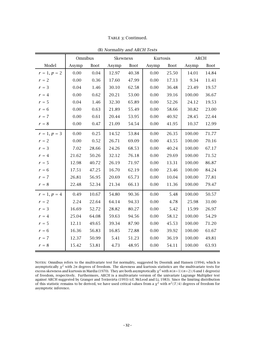|  | TABLE 3: Continued. |
|--|---------------------|
|--|---------------------|

|                | Omnibus |             | Skewness |             | Kurtosis |             | <b>ARCH</b> |             |
|----------------|---------|-------------|----------|-------------|----------|-------------|-------------|-------------|
| Model          | Asymp   | <b>Boot</b> | Asymp    | <b>Boot</b> | Asymp    | <b>Boot</b> | Asymp       | <b>Boot</b> |
| $r = 1, p = 2$ | 0.00    | 0.04        | 12.97    | 40.38       | 0.00     | 25.50       | 14.01       | 14.84       |
| $r = 2$        | 0.00    | 0.36        | 17.60    | 47.99       | $0.00\,$ | 17.13       | 9.34        | 11.41       |
| $r = 3$        | 0.04    | 1.46        | 30.10    | 62.58       | $0.00\,$ | 36.48       | 23.49       | 19.57       |
| $r = 4$        | 0.00    | 0.62        | 20.21    | 53.00       | $0.00\,$ | 39.16       | 100.00      | 36.67       |
| $r=5$          | 0.04    | 1.46        | 32.30    | 65.89       | 0.00     | 52.26       | 24.12       | 19.53       |
| $r = 6$        | 0.00    | 0.63        | 21.89    | 55.49       | 0.00     | 58.66       | 30.82       | 23.00       |
| $r = 7$        | 0.00    | 0.61        | 20.44    | 53.95       | $0.00\,$ | 40.92       | 28.45       | 22.44       |
| $r = 8$        | 0.00    | 0.47        | 21.09    | 54.54       | 0.00     | 41.95       | 10.37       | 12.99       |
| $r = 1, p = 3$ | 0.00    | 0.25        | 14.52    | 53.84       | 0.00     | 26.35       | 100.00      | 71.77       |
| $r = 2$        | 0.00    | 0.52        | 26.71    | 69.09       | 0.00     | 43.55       | 100.00      | 70.16       |
| $r = 3$        | 7.02    | 28.66       | 24.26    | 68.53       | 0.00     | 40.24       | 100.00      | 67.17       |
| $r = 4$        | 21.62   | 50.26       | 32.12    | 76.18       | 0.00     | 29.69       | 100.00      | 71.52       |
| $r = 5$        | 12.98   | 40.72       | 26.19    | 71.97       | $0.00\,$ | 13.31       | 100.00      | 86.87       |
| $r = 6$        | 17.51   | 47.25       | 16.70    | 62.19       | 0.00     | 23.46       | 100.00      | 84.24       |
| $r = 7$        | 26.81   | 56.95       | 20.69    | 65.73       | 0.00     | 10.04       | 100.00      | 77.81       |
| $r = 8$        | 22.48   | 52.34       | 21.34    | 66.13       | 0.00     | 11.36       | 100.00      | 79.47       |
| $r = 1, p = 4$ | 0.49    | 10.67       | 54.80    | 90.36       | 0.00     | 5.48        | 100.00      | 50.57       |
| $r = 2$        | 2.24    | 22.64       | 64.14    | 94.33       | 0.00     | 4.78        | 25.98       | 31.00       |
| $r = 3$        | 16.69   | 52.72       | 28.82    | 80.27       | $0.00\,$ | 5.42        | 15.99       | 26.97       |
| $r = 4$        | 25.04   | 64.08       | 59.63    | 94.56       | $0.00\,$ | 58.12       | 100.00      | 54.29       |
| $r = 5$        | 12.11   | 49.65       | 39.34    | 87.90       | 0.00     | 45.53       | 100.00      | 71.20       |
| $r = 6$        | 16.36   | 56.83       | 16.85    | 72.88       | 0.00     | 39.92       | 100.00      | 61.67       |
| $r = 7$        | 12.37   | 50.99       | 5.41     | 51.23       | $0.00\,$ | 36.19       | 100.00      | 49.81       |
| $r = 8$        | 15.42   | 53.81       | 4.73     | 48.95       | 0.00     | 54.11       | 100.00      | 63.93       |

(B) *Normality and ARCH Tests*

NOTES: Omnibus refers to the multivariate test for normality, suggested by Doornik and Hansen (1994), which is asymptotically *χ*<sup>2</sup> with 2*n* degrees of freedom. The skewness and kurtosis statistics are the multivariate tests for excess skewness and kurtosis in Mardia (1970). They are both asymptotically  $\chi^2$  with  $n(n+1)(n+2)/6$  and 1 degree(s) of freedom, respectively. Furthermore, ARCH is a multivariate version of the univariate Lagrange Multiplier test against ARCH suggested by Granger and Teräsvirta (1993) (cf. McLeod and Li, 1983). Since the limiting distribution of this statistic remains to be derived, we have used critical values from a  $\chi^2$  with  $n^2(T/4)$  degrees of freedom for asymptotic inference.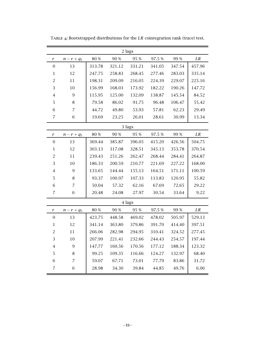|                  | 2 lags           |        |        |        |        |        |        |  |  |  |  |  |  |
|------------------|------------------|--------|--------|--------|--------|--------|--------|--|--|--|--|--|--|
| r                | $n - r + q_1$    | 80 %   | 90 %   | 95 %   | 97.5%  | 99 %   | LR     |  |  |  |  |  |  |
| $\boldsymbol{0}$ | 13               | 313.78 | 321.12 | 331.21 | 341.05 | 347.54 | 457.96 |  |  |  |  |  |  |
| $\mathbf 1$      | 12               | 247.75 | 258.83 | 268.45 | 277.46 | 283.03 | 335.14 |  |  |  |  |  |  |
| $\overline{c}$   | 11               | 198.31 | 209.09 | 216.05 | 224.39 | 229.07 | 225.16 |  |  |  |  |  |  |
| 3                | 10               | 156.99 | 168.03 | 173.92 | 182.22 | 190.26 | 147.72 |  |  |  |  |  |  |
| $\overline{4}$   | 9                | 115.95 | 125.00 | 132.09 | 138.87 | 145.54 | 84.52  |  |  |  |  |  |  |
| 5                | $\,8\,$          | 79.58  | 86.02  | 91.75  | 96.48  | 106.47 | 55.42  |  |  |  |  |  |  |
| 6                | $\overline{7}$   | 44.72  | 49.80  | 53.93  | 57.81  | 62.23  | 29.49  |  |  |  |  |  |  |
| $\overline{7}$   | 6                | 19.69  | 23.25  | 26.01  | 28.61  | 30.99  | 13.34  |  |  |  |  |  |  |
| 3 lags           |                  |        |        |        |        |        |        |  |  |  |  |  |  |
| r                | $n - r + q_1$    | 80 %   | 90 %   | 95 %   | 97.5%  | 99 %   | LR     |  |  |  |  |  |  |
| $\overline{0}$   | 13               | 369.44 | 385.87 | 396.05 | 415.20 | 426.56 | 504.75 |  |  |  |  |  |  |
| $\mathbf{1}$     | 12               | 303.13 | 317.08 | 328.51 | 345.13 | 353.78 | 370.54 |  |  |  |  |  |  |
| $\overline{2}$   | 11               | 239.43 | 251.26 | 262.47 | 268.44 | 284.41 | 264.87 |  |  |  |  |  |  |
| 3                | 10               | 186.33 | 200.59 | 210.77 | 221.69 | 227.22 | 168.00 |  |  |  |  |  |  |
| 4                | $\overline{9}$   | 133.65 | 144.44 | 155.13 | 164.51 | 171.11 | 100.59 |  |  |  |  |  |  |
| 5                | $\,8\,$          | 93.37  | 100.97 | 107.33 | 113.83 | 120.95 | 55.82  |  |  |  |  |  |  |
| 6                | $\overline{7}$   | 50.04  | 57.32  | 62.16  | 67.69  | 72.65  | 29.22  |  |  |  |  |  |  |
| $\overline{7}$   | 6                | 20.48  | 24.08  | 27.97  | 30.54  | 33.64  | 9.22   |  |  |  |  |  |  |
|                  |                  |        |        | 4 lags |        |        |        |  |  |  |  |  |  |
| r                | $n - r + q_1$    | 80 %   | 90 %   | 95 %   | 97.5%  | 99 %   | LR     |  |  |  |  |  |  |
| $\overline{0}$   | 13               | 423.75 | 448.58 | 469.02 | 478.02 | 505.97 | 529.13 |  |  |  |  |  |  |
| $\mathbf{1}$     | 12               | 341.14 | 363.80 | 379.86 | 391.70 | 414.40 | 397.51 |  |  |  |  |  |  |
| $\overline{c}$   | 11               | 266.06 | 282.98 | 294.95 | 310.41 | 324.52 | 277.45 |  |  |  |  |  |  |
| 3                | $10\,$           | 207.99 | 221.41 | 232.66 | 244.43 | 254.57 | 197.44 |  |  |  |  |  |  |
| $\overline{4}$   | $\boldsymbol{9}$ | 147.77 | 160.56 | 170.56 | 177.12 | 188.34 | 123.32 |  |  |  |  |  |  |
| 5                | $\,8\,$          | 99.25  | 109.35 | 116.66 | 124.27 | 132.97 | 68.40  |  |  |  |  |  |  |
| 6                | $\overline{7}$   | 59.07  | 67.71  | 73.01  | 77.79  | 83.86  | 31.72  |  |  |  |  |  |  |
| $\overline{7}$   | 6                | 28.98  | 34.30  | 39.84  | 44.85  | 49.76  | 6.06   |  |  |  |  |  |  |

Table 4: Bootstrapped distributions for the *LR* cointegration rank (trace) test.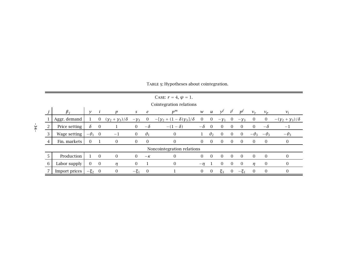|   |               |             |                |                    |                |                | CASE: $r = 4, \psi = 1$ .         |                |                  |                |                |                |                |                |                               |
|---|---------------|-------------|----------------|--------------------|----------------|----------------|-----------------------------------|----------------|------------------|----------------|----------------|----------------|----------------|----------------|-------------------------------|
|   |               |             |                |                    |                |                | Cointegration relations           |                |                  |                |                |                |                |                |                               |
|   | $\beta_i$     |             |                | $\boldsymbol{p}$   | $\mathcal{S}$  | $\epsilon$     | $p^m$                             | W              | $\boldsymbol{u}$ | $\nu$          | $i^{\dagger}$  | $D^I$          | $v_{\rm v}$    | $v_p$          | $v_i$                         |
|   | Aggr. demand  | $\perp$     | $\overline{0}$ | $(y_2+y_3)/\delta$ | $-\gamma_3$    | $\overline{0}$ | $-[y_2 + (1 - \delta)y_3]/\delta$ | $\overline{0}$ | $\overline{0}$   | $-y_1$         | $\overline{0}$ | $-y_3$         | $\theta$       | $\overline{0}$ | $-(\gamma_2+\gamma_3)/\delta$ |
|   | Price setting | $\delta$    | $\overline{0}$ |                    | $\Omega$       | $-\delta$      | $-(1-\delta)$                     | $-\delta$      | $\overline{0}$   | $\overline{0}$ | $\overline{0}$ | $\overline{0}$ | $\overline{0}$ | $-\delta$      | $-1$                          |
|   | Wage setting  | $-\theta_1$ | $\overline{0}$ | $-1$               | $\overline{0}$ | $\theta_1$     | $\overline{0}$                    | $\mathbf{1}$   | $\theta_2$       | $\theta$       | $\overline{0}$ | $\overline{0}$ | $-\theta_3$    | $-\theta_3$    | $-\theta_3$                   |
| 4 | Fin. markets  | $\Omega$    |                | $\Omega$           | $\Omega$       | $\overline{0}$ | $\boldsymbol{0}$                  | $\Omega$       | $\overline{0}$   | $\Omega$       | $\Omega$       | $\Omega$       | $\Omega$       | $\overline{0}$ | $\overline{0}$                |
|   |               |             |                |                    |                |                | Noncointegration relations        |                |                  |                |                |                |                |                |                               |
|   | Production    |             | $\overline{0}$ | $\overline{0}$     | $\theta$       | $-\kappa$      | $\overline{0}$                    | $\Omega$       | $\theta$         | $\Omega$       | $\Omega$       | $\Omega$       | $\Omega$       | $\overline{0}$ | $\Omega$                      |
| 6 | Labor supply  | $\Omega$    | $\overline{0}$ | $\eta$             | $\overline{0}$ | 1              | $\boldsymbol{0}$                  | $-\eta$        |                  | $\overline{0}$ | $\Omega$       | $\Omega$       | n              | $\overline{0}$ | $\overline{0}$                |
|   | Import prices | $-\xi_2$    | $\overline{0}$ | $\theta$           | $-\xi_1$       | $\overline{0}$ |                                   | $\overline{0}$ | $\overline{0}$   | $\xi_3$        | 0              | $-\xi_1$       | $\Omega$       | $\mathbf{0}$   | $\overline{0}$                |

TABLE 5: Hypotheses about cointegration.

**– 34 –**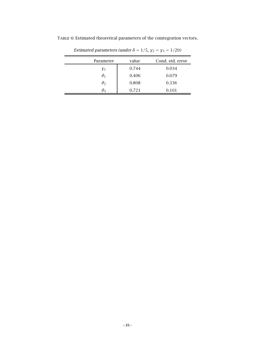| Parameter  | value | Cond. std. error |
|------------|-------|------------------|
| $\gamma_1$ | 0.744 | 0.034            |
| $\theta_1$ | 0.406 | 0.079            |
| $\theta_2$ | 0.808 | 0.336            |
| $\theta_3$ | 0.721 | 0.101            |

TABLE 6: Estimated theoretical parameters of the cointegration vectors.

*Estimated parameters (under*  $\delta = 1/5$ *,*  $\gamma_2 = \gamma_3 = 1/20$ *)*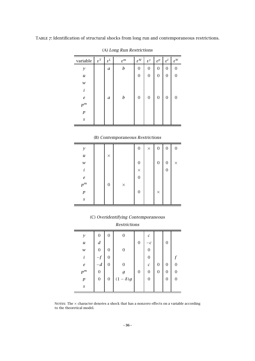Table 7: Identification of structural shocks from long run and contemporaneous restrictions.

| variable         | $\varepsilon^T$ | $\varepsilon^L$  | $\varepsilon^m$  | $\varepsilon^M$  | $\varepsilon^{\gamma}$ | $\varepsilon^p$ | $\varepsilon^I$ | $\varepsilon^W$ |
|------------------|-----------------|------------------|------------------|------------------|------------------------|-----------------|-----------------|-----------------|
| $\mathcal{Y}$    |                 | a                | $\boldsymbol{b}$ | $\boldsymbol{0}$ | $\boldsymbol{0}$       | $\mathbf{0}$    | 0               | $\mathbf{0}$    |
| u                |                 |                  |                  | 0                | $\boldsymbol{0}$       | $\mathbf{0}$    | 0               | 0               |
| ${\cal W}$       |                 |                  |                  |                  |                        |                 |                 |                 |
| i                |                 |                  |                  |                  |                        |                 |                 |                 |
| $\varrho$        |                 | $\boldsymbol{a}$ | $\boldsymbol{b}$ | $\boldsymbol{0}$ | $\boldsymbol{0}$       | 0               | 0               | 0               |
| $p^m$            |                 |                  |                  |                  |                        |                 |                 |                 |
| $\,p\,$          |                 |                  |                  |                  |                        |                 |                 |                 |
| $\boldsymbol{S}$ |                 |                  |                  |                  |                        |                 |                 |                 |
|                  |                 |                  |                  |                  |                        |                 |                 |                 |

(A) *Long Run Restrictions*

#### (B) *Contemporaneous Restrictions*

| $\mathcal{Y}$    |                  |          | $\boldsymbol{0}$ | $\times$ | $\boldsymbol{0}$ | $\boldsymbol{0}$ | $\boldsymbol{0}$ |
|------------------|------------------|----------|------------------|----------|------------------|------------------|------------------|
| $\boldsymbol{u}$ | $\times$         |          |                  |          |                  |                  |                  |
| ${\mathcal W}$   |                  |          | $\boldsymbol{0}$ |          | $\boldsymbol{0}$ | $\boldsymbol{0}$ | $\times$         |
| i                |                  |          | $\times$         |          |                  | $\boldsymbol{0}$ |                  |
| $\boldsymbol{e}$ |                  |          | $\mathbf{0}$     |          |                  |                  |                  |
| $p^m$            | $\boldsymbol{0}$ | $\times$ |                  |          |                  |                  |                  |
| $\boldsymbol{p}$ |                  |          | $\boldsymbol{0}$ |          | $\times$         |                  |                  |
| $\boldsymbol{S}$ |                  |          |                  |          |                  |                  |                  |

(C) *Overidentifying Contemporaneous Restrictions*

 $\equiv$ 

| $\mathcal{Y}$    | 0                | $\boldsymbol{0}$ | 0                |                  | $\cal C$              |                  |                  |                  |
|------------------|------------------|------------------|------------------|------------------|-----------------------|------------------|------------------|------------------|
| $\boldsymbol{u}$ | $\boldsymbol{d}$ |                  |                  | $\boldsymbol{0}$ | $-c$                  |                  | $\boldsymbol{0}$ |                  |
|                  | $\boldsymbol{0}$ | 0                | 0                |                  | $\overline{0}$        |                  |                  |                  |
| $\mathcal W$     |                  |                  |                  |                  |                       |                  |                  |                  |
| i                | $-f$             | 0                |                  |                  | $\mathbf{0}$          |                  |                  | $\mathbf f$      |
| $\boldsymbol{e}$ | $-d$             | $\boldsymbol{0}$ | $\boldsymbol{0}$ |                  | $\mathcal{C}_{0}^{2}$ | $\boldsymbol{0}$ | $\boldsymbol{0}$ | $\boldsymbol{0}$ |
| $p^m$            | $\boldsymbol{0}$ |                  | g                | $\boldsymbol{0}$ | $\mathbf{0}$          | $\mathbf{0}$     | $\boldsymbol{0}$ | $\boldsymbol{0}$ |
| $\boldsymbol{p}$ | $\boldsymbol{0}$ | $\boldsymbol{0}$ | $(1 - \delta)g$  |                  | $\mathbf{0}$          |                  | $\boldsymbol{0}$ | $\boldsymbol{0}$ |
| $\boldsymbol{S}$ |                  |                  |                  |                  |                       |                  |                  |                  |

NOTES: The  $\times$  character denotes a shock that has a nonzero effects on a variable according to the theoretical model.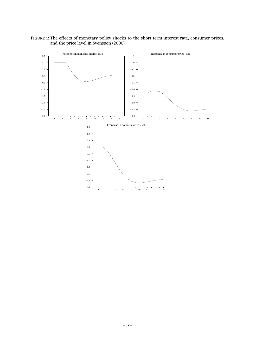FIGURE 1: The effects of monetary policy shocks to the short term interest rate, consumer prices, and the price level in Svensson (2000).

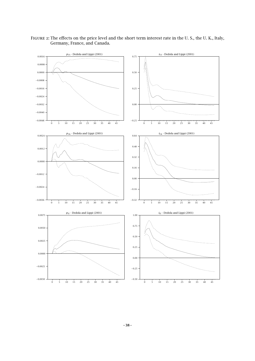

Figure 2: The effects on the price level and the short term interest rate in the U. S., the U. K., Italy, Germany, France, and Canada.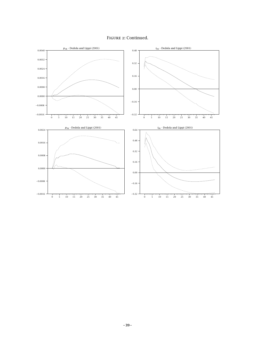

Figure 2: Continued.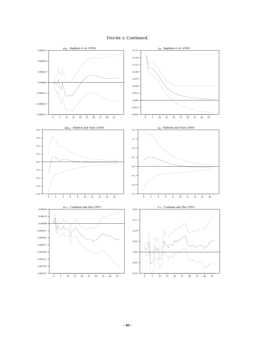

#### Figure 2: Continued.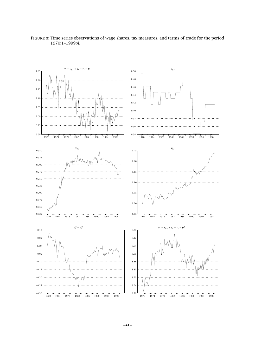

Figure 3: Time series observations of wage shares, tax measures, and terms of trade for the period 1970:1–1999:4.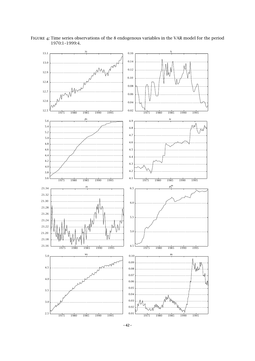

Figure 4: Time series observations of the 8 endogenous variables in the VAR model for the period 1970:1–1999:4.

**– 42 –**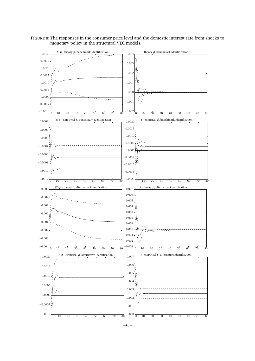Figure 5: The responses in the consumer price level and the domestic interest rate from shocks to monetary policy in the structural VEC models.



**– 43 –**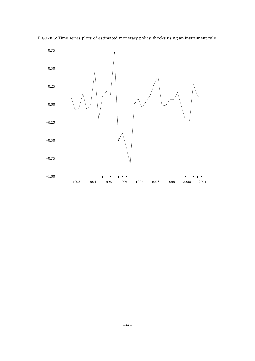

Figure 6: Time series plots of estimated monetary policy shocks using an instrument rule.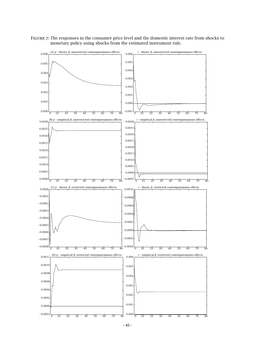Figure 7: The responses in the consumer price level and the domestic interest rate from shocks to monetary policy using shocks from the estimated instrument rule.



**– 45 –**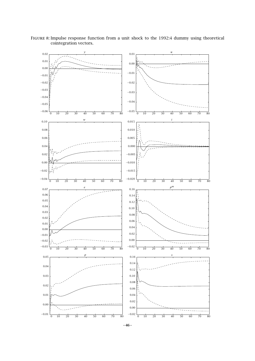

Figure 8: Impulse response function from a unit shock to the 1992:4 dummy using theoretical cointegration vectors.

**– 46 –**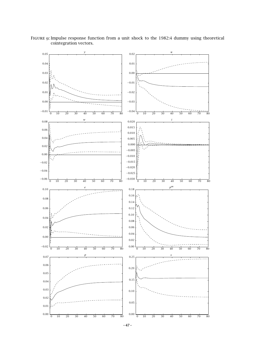

Figure 9: Impulse response function from a unit shock to the 1982:4 dummy using theoretical cointegration vectors.

**– 47 –**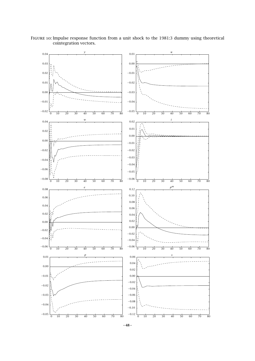*y* 0 10 20 30 40 50 60 70 80 0*.*04 0*.*03 0*.*02 0*.*01 0*.*00 −0*.*01 −0*.*02 *u* 0 10 20 30 40 50 60 70 80 0*.*01 0*.*00 −0*.*01 −0*.*02 −0*.*03 −0*.*04 −0*.*05 *w* 0 10 20 30 40 50 60 70 80 0*.*04 0*.*02 0*.*00 −0*.*02 −0*.*04 −0*.*06 −0*.*08 *i* 0 10 20 30 40 50 60 70 80 0*.*02 0*.*01 0*.*00 −0*.*01 −0*.*02 −0*.*03 −0*.*04 −0*.*05 −0*.*06 *e* 0 10 20 30 40 50 60 70 80 0*.*08 0*.*06 0*.*04 0*.*02 0*.*00 −0*.*02 −0*.*04 −0*.*06 *p<sup>m</sup>* 0 10 20 30 40 50 60 70 80 0*.*12 0*.*10 0*.*08 0*.*06 0*.*04 0*.*02 0*.*00 −0*.*02 −0*.*04 −0*.*06 *p* 0 10 20 30 40 50 60 70 80 0*.*01 0*.*00 −0*.*01 −0*.*02 −0*.*03 −0*.*04 −0*.*05 *s* 0 10 20 30 40 50 60 70 80 0*.*06 0*.*04 0*.*02 0*.*00 −0*.*02 −0*.*04 −0*.*06 −0*.*08 −0*.*10 −0*.*12

Figure 10: Impulse response function from a unit shock to the 1981:3 dummy using theoretical cointegration vectors.

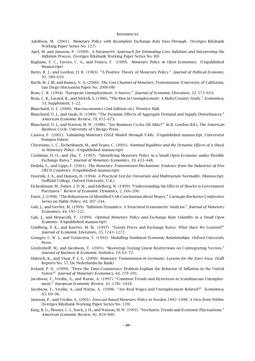#### **REFERENCES**

- Adolfson, M. (2001). *Monetary Policy with Incomplete Exchange Rate Pass-Through.* (Sveriges Riksbank Working Paper Series No. 127)
- Apel, M. and Jansson, P. (1999). *A Parametric Approach for Estimating Core Inflation and Interpreting the Inflation Process.* (Sveriges Riksbank Working Paper Series No. 80)
- Bagliano, F. C., Favero, C. A., and Franco, F. (1999). *Monetary Policy in Open Economies.* (Unpublished Manuscript)
- Barro, R. J., and Gordon, D. B. (1983). "A Positive Theory of Monetary Policy." *Journal of Political Economy*, *91*, 589–610.
- Barth, M. J. III, and Ramey, V. A. (2000). *The Cost Channel of Monetary Transmission.* (University of California, San Diego Discussion Paper No. 2000-08)
- Bean, C. R. (1994). "European Unemployment: A Survey." *Journal of Economic Literature*, *32*, 573–619.
- Bean, C. R., Layard, R., and Nickell, S. (1986). "The Rise in Unemployment: A Multi-Country Study." *Economica*, *53*, Supplement, 1–22.
- Blanchard, O. J. (2000). *Macroeconomics* (2nd Edition ed.). Prentice Hall.
- Blanchard, O. J., and Quah, D. (1989). "The Dynamic Effects of Aggregate Demand and Supply Disturbances." *American Economic Review*, *79*, 655–673.
- Blanchard, O. J., and Watson, M. W. (1986). "Are Business Cycles All Alike?" In R. Gordon (Ed.), *The American Business Cycle.* University of Chicago Press.
- Canova, F. (2001). *Validating Monetary DSGE Models through VARs.* (Unpublished manuscript, Universitat Pompeu Fabra)
- Christiano, L. C., Eichenbaum, M., and Evans, C. (2001). *Nominal Rigidities and the Dynamic Effects of a Shock to Monetary Policy.* (Unpublished manuscript)
- Cushman, D. O., and Zha, T. (1997). "Identifying Monetary Policy in a Small Open Economy under Flexible Exchange Rates." *Journal of Monetary Economics*, *39*, 433–448.
- Dedola, L., and Lippi, F. (2001). *The Monetary Transmission Mechanism: Evidence from the Industries of Five OECD Countries.* (Unpublished manuscript)
- Doornik, J. A., and Hansen, H. (1994). *A Practical Test for Univariate and Multivariate Normality.* (Manuscript, Nuffield College, Oxford University, U.K.)
- Eichenbaum, M., Fisher, J. D. M. , and Edelberg, W. (1999). "Understanding the Effects of Shocks to Government Purchases." *Reviewof Economic Dynamics*, *2*, 166–206.
- Faust, J. (1998). "The Robustness of Identified VAR Conclusions about Money." *Carnegie-Rochester Conference Series on Public Policy*, *49*, 207–244.
- Galí, J., and Gertler, M. (1999). "Inflation Dynamics: A Structural Econometric Analysis." *Journal of Monetary Economics*, *44*, 195–222.
- Galí, J., and Monacelli, T. (1999). *Optimal Monetary Policy and Exchange Rate Volatility in a Small Open Economy.* (Unpublished manuscript)
- Goldberg, P. K., and Knetter, M. M. (1997). "Goods Prices and Exchange Rates: What Have We Learned?" *Journal of Economic Literature*, *35*, 1243–1272.
- Granger, C. W. J., and Teräsvirta, T. (1993). *Modelling Nonlinear Economic Relationships.* Oxford University Press.
- Gredenhoff, M., and Jacobson, T. (2001). "Bootstrap Testing Linear Restrictions on Cointegrating Vectors." *Journal of Business & Economic Statistics*, *19*, 63–72.
- Hubrich, K., and Vlaar, P. J. G. (2000). *Monetary Transmission in Germany: Lessons for the Euro Area.* (Staff Reports No. 57, De Nederlandsche Bank)
- Ireland, P. N. (1999). "Does the Time-Consistency Problem Explain the Behavior of Inflation in the United States?" *Journal of Monetary Economics*, *44*, 279–291.
- Jacobson, T., Vredin, A., and Warne, A. (1997). "Common Trends and Hysteresis in Scandinavian Unemployment." *European Economic Review*, *41*, 1781–1816.
- Jacobson, T., Vredin, A., and Warne, A. (1998). "Are Real Wages and Unemployment Related?" *Economica*, *65*, 69–96.
- Jansson, P., and Vredin, A. (2001). *Forecast-based Monetary Policy in Sweden 1992–1998: A View from Within.* (Sveriges Riksbank Working Paper Series No. 120)
- King, R. G., Plosser, C. I., Stock, J. H., and Watson, M. W. (1991). "Stochastic Trends and Economic Fluctuations." *American Economic Review*, *81*, 819–840.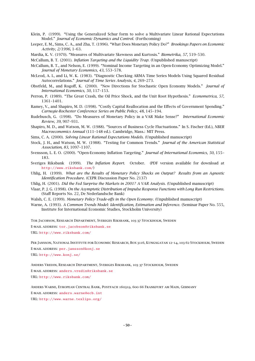- Klein, P. (1999). "Using the Generalized Schur form to solve a Multivariate Linear Rational Expectations Model." *Journal of Economic Dynamics and Control*. (Forthcoming)
- Leeper, E. M., Sims, C. A., and Zha, T. (1996). "What Does Monetary Policy Do?" *Brookings Papers on Economic Activity*, *2/1996*, 1–63.
- Mardia, K. V. (1970). "Measures of Multivariate Skewness and Kurtosis." *Biometrika*, *57*, 519–530.

McCallum, B. T. (2001). *Inflation Targeting and the Liquidity Trap.* (Unpublished manuscript)

McCallum, B. T., and Nelson, E. (1999). "Nominal Income Targeting in an Open-Economy Optimizing Model." *Journal of Monetary Economics*, *43*, 553–578.

- McLeod, A. I., and Li, W. K. (1983). "Diagnostic Checking ARMA Time Series Models Using Squared Residual Autocorrelations." *Journal of Time Series Analysis*, *4*, 269–273.
- Obstfeld, M., and Rogoff, K. (2000). "New Directions for Stochastic Open Economy Models." *Journal of International Economics*, *50*, 117–153.
- Perron, P. (1989). "The Great Crash, the Oil Price Shock, and the Unit Root Hypothesis." *Econometrica*, *57*, 1361–1401.

Ramey, V., and Shapiro, M. D. (1998). "Costly Capital Reallocation and the Effects of Government Spending." *Carnegie-Rochester Conference Series on Public Policy*, *48*, 145–194.

- Rudebusch, G. (1998). "Do Measures of Monetary Policy in a VAR Make Sense?" *International Economic Review*, *39*, 907–931.
- Shapiro, M. D., and Watson, M. W. (1988). "Sources of Business Cycle Fluctuations." In S. Fischer (Ed.), *NBER Macroeconomics Annual* (111–148 ed.). Cambridge, Mass.: MIT Press.
- Sims, C. A. (2000). *Solving Linear Rational Expectations Models.* (Unpublished manuscript)
- Stock, J. H., and Watson, M. W. (1988). "Testing for Common Trends." *Journal of the American Statistical Association*, *83*, 1097–1107.
- Svensson, L. E. O. (2000). "Open-Economy Inflation Targeting." *Journal of International Economics*, *50*, 155– 183.
- Sveriges Riksbank (1999). *The Inflation Report.* October. (PDF version available for download at <http://www.riksbank.com/>)
- Uhlig, H. (1999). *What are the Results of Monetary Policy Shocks on Output? Results from an Agnostic Identification Procedure.* (CEPR Discussion Paper No. 2137)
- Uhlig, H. (2001). *Did the Fed Surprise the Markets in 2001? A VAR Analysis.* (Unpublished manuscript)
- Vlaar, P. J. G. (1998). *On the Asymptotic Distribution of Impulse Response Functions with Long Run Restrictions.* (Staff Reports No. 22, De Nederlandsche Bank)
- Walsh, C. E. (1999). *Monetary Policy Trade-offs in the Open Economy.* (Unpublished manuscript)
- Warne, A. (1993). *A Common Trends Model: Identification, Estimation and Inference.* (Seminar Paper No. 555, Institute for International Economic Studies, Stockholm University)

Tor Jacobson, Research Department, Sveriges Riksbank, 103 37 Stockholm, Sweden E-MAIL ADDRESS: [tor.jacobson@riksbank.se](mailto:tor.jacobson@riksbank.se) URL: <http://www.riksbank.com/>

Per Jansson, National Institute for Economic Research, Box 3116, Kungsgatan 12–14, 103 62 Stockholm, Sweden E-mail address: [per.jansson@konj.se](mailto:per.jansson@konj.se) URL: <http://www.konj.se/>

Anders Vredin, Research Department, Sveriges Riksbank, 103 37 Stockholm, Sweden E-MAIL ADDRESS: [anders.vredin@riksbank.se](mailto:anders.vredin@riksbank.se) URL: <http://www.riksbank.com/>

Anders Warne, European Central Bank, Postfach 160319, 600 66 Frankfurt am Main, Germany E-MAIL ADDRESS: [anders.warne@ecb.int](mailto:anders.warne@ecb.int) URL: <http://www.warne.texlips.org/>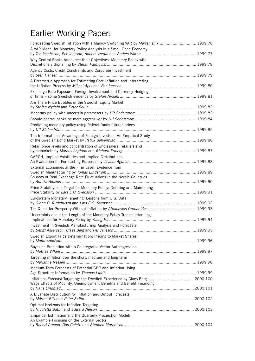## Earlier Working Paper:

| Forecasting Swedish Inflation with a Markov Switching VAR by Mårten Blix  1999:76                       |  |
|---------------------------------------------------------------------------------------------------------|--|
| A VAR Model for Monetary Policy Analysis in a Small Open Economy                                        |  |
| Why Central Banks Announce their Objectives: Monetary Policy with                                       |  |
| Agency Costs, Credit Constraints and Corporate Investment                                               |  |
| A Parametric Approach for Estimating Core Inflation and Interpreting                                    |  |
| Exchange Rate Exposure, Foreign Involvement and Currency Hedging                                        |  |
| Are There Price Bubbles in the Swedish Equity Market                                                    |  |
|                                                                                                         |  |
|                                                                                                         |  |
| Predicting monetary policy using federal funds futures prices                                           |  |
| The Informational Advantage of Foreign Investors: An Empirical Study                                    |  |
| Retail price levels and concentration of wholesalers, retailers and                                     |  |
| GARCH, Implied Volatilities and Implied Distributions:                                                  |  |
| External Economies at the Firm Level: Evidence from                                                     |  |
| Sources of Real Exchange Rate Fluctuations in the Nordic Countries                                      |  |
| Price Stability as a Target for Monetary Policy: Defining and Maintaning                                |  |
| Eurosystem Monetary Targeting: Lessons form U.S. Data                                                   |  |
|                                                                                                         |  |
| Uncertainty about the Length of the Monetary Policy Transmission Lag:                                   |  |
| Investment in Swedish Manufacturing: Analysis and Forecasts                                             |  |
| Swedish Export Price Determination: Pricing to Market Shares?                                           |  |
| Bayesian Prediction with a Cointegrated Vector Autoregression                                           |  |
| Targeting inflation over the short, medium and long term                                                |  |
| Medium-Term Forecasts of Potential GDP and Inflation Using                                              |  |
|                                                                                                         |  |
| Wage Effects of Mobility, Unemployment Benefits and Benefit Financing                                   |  |
| A Bivariate Distribution for Inflation and Output Forecasts                                             |  |
| Optimal Horizons for Inflation Targeting                                                                |  |
| Empirical Estimation and the Quarterly Procjection Model:<br>An Example Focusing on the External Sector |  |
|                                                                                                         |  |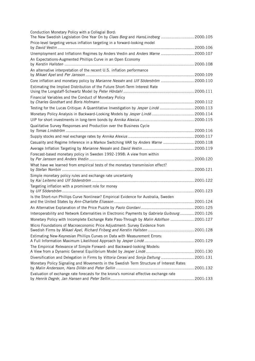| Conduction Monetary Policy with a Collegial Bord:<br>The New Swedish Legislation One Year On by Claes Berg and HansLindberg  2000:105 |  |
|---------------------------------------------------------------------------------------------------------------------------------------|--|
| Price-level targeting versus inflation targeting in a forward-looking model                                                           |  |
| Unemployment and Inflationn Regimes by Anders Vredin and Anders Warne  2000:107                                                       |  |
| An Expectations-Augmented Phillips Curve in an Open Economy                                                                           |  |
|                                                                                                                                       |  |
| An alternative interpretation of the recent U.S. inflation performance                                                                |  |
|                                                                                                                                       |  |
| Core inflation and monetary policy by Marianne Nessén and Ulf Söderström  2000:110                                                    |  |
| Estimating the Implied Distribution of the Future Short-Term Interest Rate                                                            |  |
| Financial Variables and the Conduct of Monetary Policy                                                                                |  |
| Testing for the Lucas Critique: A Quantitative Investigation by Jesper Lindé  2000:113                                                |  |
| Monetary Policy Analysis in Backward-Looking Models by Jesper Lindé  2000:114                                                         |  |
|                                                                                                                                       |  |
| Qualitative Survey Responses and Production over the Business Cycle                                                                   |  |
|                                                                                                                                       |  |
|                                                                                                                                       |  |
| Casuality and Regime Inference in a Markov Switching VAR by Anders Warne  2000:118                                                    |  |
|                                                                                                                                       |  |
| Forecast-based monetary policy in Sweden 1992-1998: A view from within                                                                |  |
| What have we learned from empirical tests of the monetary transmission effect?                                                        |  |
| Simple monetary policy rules and exchange rate uncertainty                                                                            |  |
| Targeting inflation with a prominent role for money                                                                                   |  |
| Is the Short-run Phillips Curve Nonlinear? Empirical Evidence for Australia, Sweden                                                   |  |
|                                                                                                                                       |  |
|                                                                                                                                       |  |
| Interoperability and Network Externalities in Electronic Payments by Gabriela Guibourg 2001:126                                       |  |
| Monetary Policy with Incomplete Exchange Rate Pass-Through by Malin Adolfson  2001:127                                                |  |
| Micro Foundations of Macroeconomic Price Adjustment: Survey Evidence from                                                             |  |
| Estimating New-Keynesian Phillips Curves on Data with Measurement Errors:                                                             |  |
| The Empirical Relevance of Simple Forward- and Backward-looking Models:                                                               |  |
| Diversification and Delegation in Firms by Vittoria Cerasi and Sonja Daltung  2001:131                                                |  |
| Monetary Policy Signaling and Movements in the Swedish Term Structure of Interest Rates                                               |  |
| Evaluation of exchange rate forecasts for the krona's nominal effective exchange rate                                                 |  |
|                                                                                                                                       |  |